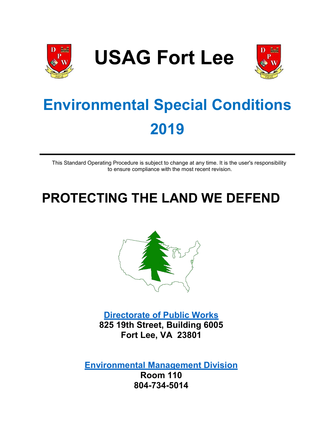

**USAG Fort Lee**



# **Environmental Special Conditions 2019**

This Standard Operating Procedure is subject to change at any time. It is the user's responsibility to ensure compliance with the most recent revision.

# **PROTECTING THE LAND WE DEFEND**



**Directorate of Public Works 825 19th Street, Building 6005 Fort Lee, VA 23801** 

**Environmental Management Division Room 110 804-734-5014**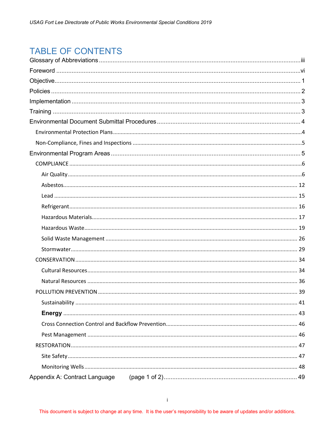# **TABLE OF CONTENTS**

| 41 |
|----|
|    |
|    |
|    |
|    |
|    |
|    |
|    |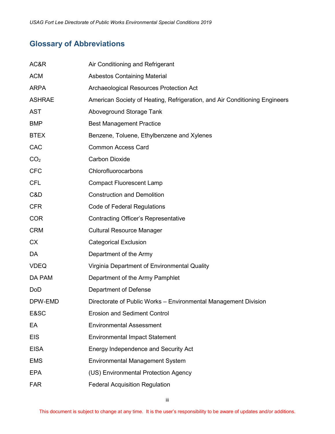# <span id="page-3-0"></span>**Glossary of Abbreviations**

| AC&R            | Air Conditioning and Refrigerant                                           |
|-----------------|----------------------------------------------------------------------------|
| <b>ACM</b>      | <b>Asbestos Containing Material</b>                                        |
| <b>ARPA</b>     | Archaeological Resources Protection Act                                    |
| <b>ASHRAE</b>   | American Society of Heating, Refrigeration, and Air Conditioning Engineers |
| <b>AST</b>      | Aboveground Storage Tank                                                   |
| <b>BMP</b>      | <b>Best Management Practice</b>                                            |
| <b>BTEX</b>     | Benzene, Toluene, Ethylbenzene and Xylenes                                 |
| CAC             | <b>Common Access Card</b>                                                  |
| CO <sub>2</sub> | <b>Carbon Dioxide</b>                                                      |
| <b>CFC</b>      | Chlorofluorocarbons                                                        |
| <b>CFL</b>      | <b>Compact Fluorescent Lamp</b>                                            |
| C&D             | <b>Construction and Demolition</b>                                         |
| <b>CFR</b>      | Code of Federal Regulations                                                |
| <b>COR</b>      | <b>Contracting Officer's Representative</b>                                |
| <b>CRM</b>      | <b>Cultural Resource Manager</b>                                           |
| <b>CX</b>       | <b>Categorical Exclusion</b>                                               |
| DA              | Department of the Army                                                     |
| <b>VDEQ</b>     | Virginia Department of Environmental Quality                               |
| DA PAM          | Department of the Army Pamphlet                                            |
| <b>DoD</b>      | Department of Defense                                                      |
| DPW-EMD         | Directorate of Public Works - Environmental Management Division            |
| E&SC            | <b>Erosion and Sediment Control</b>                                        |
| EA              | <b>Environmental Assessment</b>                                            |
| <b>EIS</b>      | <b>Environmental Impact Statement</b>                                      |
| <b>EISA</b>     | Energy Independence and Security Act                                       |
| <b>EMS</b>      | <b>Environmental Management System</b>                                     |
| <b>EPA</b>      | (US) Environmental Protection Agency                                       |
| <b>FAR</b>      | <b>Federal Acquisition Regulation</b>                                      |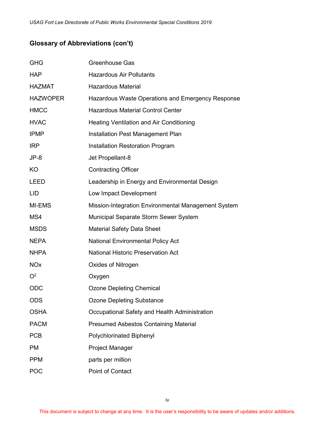# **Glossary of Abbreviations (con't)**

| <b>GHG</b>            | <b>Greenhouse Gas</b>                               |
|-----------------------|-----------------------------------------------------|
| <b>HAP</b>            | <b>Hazardous Air Pollutants</b>                     |
| <b>HAZMAT</b>         | <b>Hazardous Material</b>                           |
| <b>HAZWOPER</b>       | Hazardous Waste Operations and Emergency Response   |
| <b>HMCC</b>           | <b>Hazardous Material Control Center</b>            |
| <b>HVAC</b>           | <b>Heating Ventilation and Air Conditioning</b>     |
| <b>IPMP</b>           | Installation Pest Management Plan                   |
| <b>IRP</b>            | <b>Installation Restoration Program</b>             |
| $JP-8$                | Jet Propellant-8                                    |
| KO                    | <b>Contracting Officer</b>                          |
| LEED                  | Leadership in Energy and Environmental Design       |
| LID                   | Low Impact Development                              |
| MI-EMS                | Mission-Integration Environmental Management System |
| MS4                   | Municipal Separate Storm Sewer System               |
| <b>MSDS</b>           | <b>Material Safety Data Sheet</b>                   |
| <b>NEPA</b>           | <b>National Environmental Policy Act</b>            |
| <b>NHPA</b>           | <b>National Historic Preservation Act</b>           |
| <b>NO<sub>x</sub></b> | Oxides of Nitrogen                                  |
| O <sup>2</sup>        | Oxygen                                              |
| ODC                   | <b>Ozone Depleting Chemical</b>                     |
| <b>ODS</b>            | <b>Ozone Depleting Substance</b>                    |
| <b>OSHA</b>           | Occupational Safety and Health Administration       |
| <b>PACM</b>           | <b>Presumed Asbestos Containing Material</b>        |
| <b>PCB</b>            | <b>Polychlorinated Biphenyl</b>                     |
| PM                    | Project Manager                                     |
| <b>PPM</b>            | parts per million                                   |
| <b>POC</b>            | Point of Contact                                    |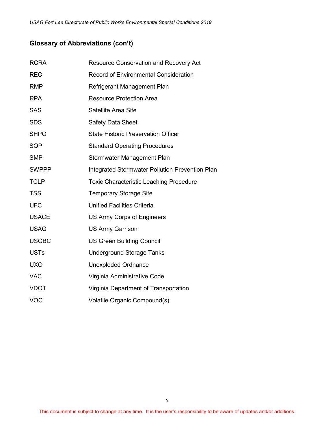# **Glossary of Abbreviations (con't)**

| <b>RCRA</b>  | <b>Resource Conservation and Recovery Act</b>   |
|--------------|-------------------------------------------------|
| <b>REC</b>   | <b>Record of Environmental Consideration</b>    |
| <b>RMP</b>   | Refrigerant Management Plan                     |
| <b>RPA</b>   | <b>Resource Protection Area</b>                 |
| <b>SAS</b>   | Satellite Area Site                             |
| <b>SDS</b>   | <b>Safety Data Sheet</b>                        |
| <b>SHPO</b>  | <b>State Historic Preservation Officer</b>      |
| <b>SOP</b>   | <b>Standard Operating Procedures</b>            |
| <b>SMP</b>   | Stormwater Management Plan                      |
| <b>SWPPP</b> | Integrated Stormwater Pollution Prevention Plan |
| <b>TCLP</b>  | <b>Toxic Characteristic Leaching Procedure</b>  |
| <b>TSS</b>   | <b>Temporary Storage Site</b>                   |
| <b>UFC</b>   | <b>Unified Facilities Criteria</b>              |
| <b>USACE</b> | US Army Corps of Engineers                      |
| <b>USAG</b>  | <b>US Army Garrison</b>                         |
| <b>USGBC</b> | <b>US Green Building Council</b>                |
| <b>USTs</b>  | <b>Underground Storage Tanks</b>                |
| <b>UXO</b>   | <b>Unexploded Ordnance</b>                      |
| <b>VAC</b>   | Virginia Administrative Code                    |
| <b>VDOT</b>  | Virginia Department of Transportation           |
| <b>VOC</b>   | Volatile Organic Compound(s)                    |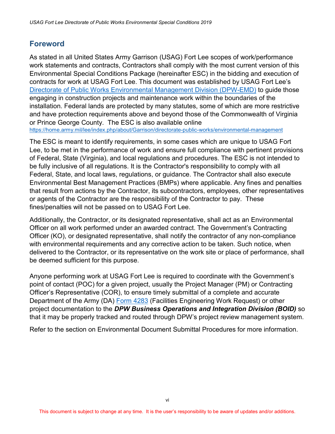# <span id="page-6-0"></span>**Foreword**

As stated in all United States Army Garrison (USAG) Fort Lee scopes of work/performance work statements and contracts, Contractors shall comply with the most current version of this Environmental Special Conditions Package (hereinafter ESC) in the bidding and execution of contracts for work at USAG Fort Lee. This document was established by USAG Fort Lee's [Directorate of Public Works Environmental Management Division \(DPW-EMD\)](https://home.army.mil/lee/index.php/about/Garrison/directorate-public-works/environmental-management) to guide those engaging in construction projects and maintenance work within the boundaries of the installation. Federal lands are protected by many statutes, some of which are more restrictive and have protection requirements above and beyond those of the Commonwealth of Virginia or Prince George County. The [ESC](https://home.army.mil/lee/application/files/7915/3546/0377/Environmental_Special_Conditions.pdf) is also available online <https://home.army.mil/lee/index.php/about/Garrison/directorate-public-works/environmental-management>

The ESC is meant to identify requirements, in some cases which are unique to USAG Fort Lee, to be met in the performance of work and ensure full compliance with pertinent provisions of Federal, State (Virginia), and local regulations and procedures. The ESC is not intended to be fully inclusive of all regulations. It is the Contractor's responsibility to comply with all Federal, State, and local laws, regulations, or guidance. The Contractor shall also execute Environmental Best Management Practices (BMPs) where applicable. Any fines and penalties that result from actions by the Contractor, its subcontractors, employees, other representatives or agents of the Contractor are the responsibility of the Contractor to pay. These fines/penalties will not be passed on to USAG Fort Lee.

Additionally, the Contractor, or its designated representative, shall act as an Environmental Officer on all work performed under an awarded contract. The Government's Contracting Officer (KO), or designated representative, shall notify the contractor of any non-compliance with environmental requirements and any corrective action to be taken. Such notice, when delivered to the Contractor, or its representative on the work site or place of performance, shall be deemed sufficient for this purpose.

Anyone performing work at USAG Fort Lee is required to coordinate with the Government's point of contact (POC) for a given project, usually the Project Manager (PM) or Contracting Officer's Representative (COR), to ensure timely submittal of a complete and accurate Department of the Army (DA) [Form 4283](http://www.apd.army.mil/pub/eforms/pdf/A4283.pdf) (Facilities Engineering Work Request) or other project documentation to the *DPW Business Operations and Integration Division (BOID)* so that it may be properly tracked and routed through DPW's project review management system.

Refer to the section on Environmental Document Submittal Procedures for more information.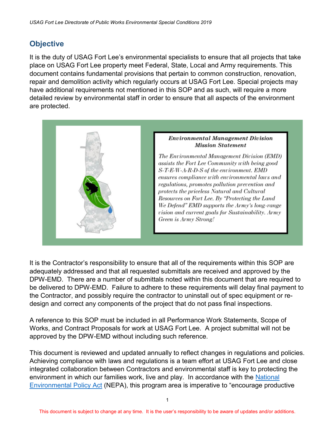# <span id="page-7-0"></span>**Objective**

It is the duty of USAG Fort Lee's environmental specialists to ensure that all projects that take place on USAG Fort Lee property meet Federal, State, Local and Army requirements. This document contains fundamental provisions that pertain to common construction, renovation, repair and demolition activity which regularly occurs at USAG Fort Lee. Special projects may have additional requirements not mentioned in this SOP and as such, will require a more detailed review by environmental staff in order to ensure that all aspects of the environment are protected.



It is the Contractor's responsibility to ensure that all of the requirements within this SOP are adequately addressed and that all requested submittals are received and approved by the DPW-EMD. There are a number of submittals noted within this document that are required to be delivered to DPW-EMD. Failure to adhere to these requirements will delay final payment to the Contractor, and possibly require the contractor to uninstall out of spec equipment or redesign and correct any components of the project that do not pass final inspections.

A reference to this SOP must be included in all Performance Work Statements, Scope of Works, and Contract Proposals for work at USAG Fort Lee. A project submittal will not be approved by the DPW-EMD without including such reference.

This document is reviewed and updated annually to reflect changes in regulations and policies. Achieving compliance with laws and regulations is a team effort at USAG Fort Lee and close integrated collaboration between Contractors and environmental staff is key to protecting the environment in which our families work, live and play. In accordance with the [National](https://home.army.mil/lee/index.php?cID=480)  [Environmental Policy Act](https://home.army.mil/lee/index.php?cID=480) (NEPA), this program area is imperative to "encourage productive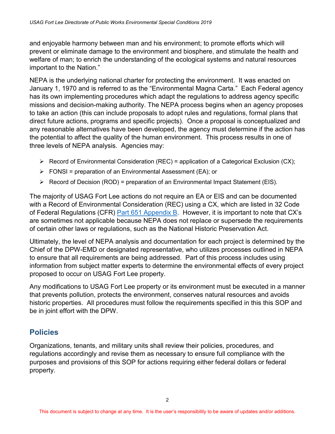and enjoyable harmony between man and his environment; to promote efforts which will prevent or eliminate damage to the environment and biosphere, and stimulate the health and welfare of man; to enrich the understanding of the ecological systems and natural resources important to the Nation."

NEPA is the underlying national charter for protecting the environment. It was enacted on January 1, 1970 and is referred to as the "Environmental Magna Carta." Each Federal agency has its own implementing procedures which adapt the regulations to address agency specific missions and decision-making authority. The NEPA process begins when an agency proposes to take an action (this can include proposals to adopt rules and regulations, formal plans that direct future actions, programs and specific projects). Once a proposal is conceptualized and any reasonable alternatives have been developed, the agency must determine if the action has the potential to affect the quality of the human environment. This process results in one of three levels of NEPA analysis. Agencies may:

- $\triangleright$  Record of Environmental Consideration (REC) = application of a Categorical Exclusion (CX);
- $\triangleright$  FONSI = preparation of an Environmental Assessment (EA); or
- $\triangleright$  Record of Decision (ROD) = preparation of an Environmental Impact Statement (EIS).

The majority of USAG Fort Lee actions do not require an EA or EIS and can be documented with a Record of Environmental Consideration (REC) using a CX, which are listed in 32 Code of Federal Regulations (CFR) [Part 651 Appendix B.](https://www.gpo.gov/fdsys/pkg/CFR-2012-title32-vol4/pdf/CFR-2012-title32-vol4-part651-appB.pdf) However, it is important to note that CX's are sometimes not applicable because NEPA does not replace or supersede the requirements of certain other laws or regulations, such as the National Historic Preservation Act.

Ultimately, the level of NEPA analysis and documentation for each project is determined by the Chief of the DPW-EMD or designated representative, who utilizes processes outlined in NEPA to ensure that all requirements are being addressed. Part of this process includes using information from subject matter experts to determine the environmental effects of every project proposed to occur on USAG Fort Lee property.

Any modifications to USAG Fort Lee property or its environment must be executed in a manner that prevents pollution, protects the environment, conserves natural resources and avoids historic properties. All procedures must follow the requirements specified in this this SOP and be in joint effort with the DPW.

## <span id="page-8-0"></span>**Policies**

Organizations, tenants, and military units shall review their policies, procedures, and regulations accordingly and revise them as necessary to ensure full compliance with the purposes and provisions of this SOP for actions requiring either federal dollars or federal property.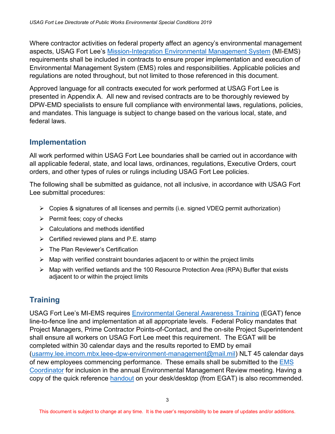Where contractor activities on federal property affect an agency's environmental management aspects, USAG Fort Lee's [Mission-Integration Environmental Management System](https://home.army.mil/lee/index.php?cID=479) (MI-EMS) requirements shall be included in contracts to ensure proper implementation and execution of Environmental Management System (EMS) roles and responsibilities. Applicable policies and regulations are noted throughout, but not limited to those referenced in this document.

Approved language for all contracts executed for work performed at USAG Fort Lee is presented in Appendix A. All new and revised contracts are to be thoroughly reviewed by DPW-EMD specialists to ensure full compliance with environmental laws, regulations, policies, and mandates. This language is subject to change based on the various local, state, and federal laws.

# <span id="page-9-0"></span>**Implementation**

All work performed within USAG Fort Lee boundaries shall be carried out in accordance with all applicable federal, state, and local laws, ordinances, regulations, Executive Orders, court orders, and other types of rules or rulings including USAG Fort Lee policies.

The following shall be submitted as guidance, not all inclusive, in accordance with USAG Fort Lee submittal procedures:

- $\triangleright$  Copies & signatures of all licenses and permits (i.e. signed VDEQ permit authorization)
- $\triangleright$  Permit fees; copy of checks
- $\triangleright$  Calculations and methods identified
- $\triangleright$  Certified reviewed plans and P.E. stamp
- > The Plan Reviewer's Certification
- $\triangleright$  Map with verified constraint boundaries adjacent to or within the project limits
- $\triangleright$  Map with verified wetlands and the 100 Resource Protection Area (RPA) Buffer that exists adjacent to or within the project limits

# <span id="page-9-1"></span>**Training**

USAG Fort Lee's MI-EMS requires [Environmental General Awareness Training](https://www.milsuite.mil/university/ems-training/) (EGAT) fence line-to-fence line and implementation at all appropriate levels. Federal Policy mandates that Project Managers, Prime Contractor Points-of-Contact, and the on-site Project Superintendent shall ensure all workers on USAG Fort Lee meet this requirement. The EGAT will be completed within 30 calendar days and the results reported to EMD by email [\(usarmy.lee.imcom.mbx.leee-dpw-environment-management@mail.mil\)](mailto:usarmy.lee.imcom.mbx.leee-dpw-environment-management@mail.mil) NLT 45 calendar days of new employees commencing performance. These emails shall be submitted to the [EMS](mailto:usarmy.lee.imcom.mbx.leee-dpw-environment-management@mail.mil?subject=EGAT%20Training)  [Coordinator](mailto:usarmy.lee.imcom.mbx.leee-dpw-environment-management@mail.mil?subject=EGAT%20Training) for inclusion in the annual Environmental Management Review meeting. Having a copy of the quick reference [handout](https://www.milsuite.mil/university/ems-training/) on your desk/desktop (from EGAT) is also recommended.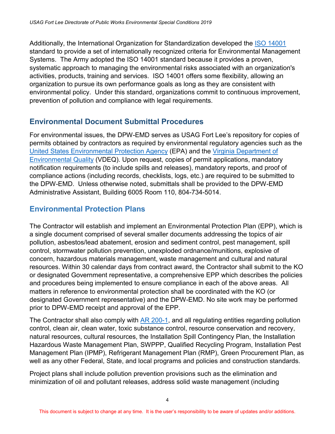Additionally, the International Organization for Standardization developed the [ISO 14001](http://www.iso.org/iso/iso14000) standard to provide a set of internationally recognized criteria for Environmental Management Systems. The Army adopted the ISO 14001 standard because it provides a proven, systematic approach to managing the environmental risks associated with an organization's activities, products, training and services. ISO 14001 offers some flexibility, allowing an organization to pursue its own performance goals as long as they are consistent with environmental policy. Under this standard, organizations commit to continuous improvement, prevention of pollution and compliance with legal requirements.

# <span id="page-10-0"></span>**Environmental Document Submittal Procedures**

For environmental issues, the DPW-EMD serves as USAG Fort Lee's repository for copies of permits obtained by contractors as required by environmental regulatory agencies such as the [United States Environmental Protection Agency](https://www3.epa.gov/) (EPA) and the [Virginia Department of](http://deq.state.va.us/)  [Environmental Quality](http://deq.state.va.us/) (VDEQ). Upon request, copies of permit applications, mandatory notification requirements (to include spills and releases), mandatory reports, and proof of compliance actions (including records, checklists, logs, etc.) are required to be submitted to the DPW-EMD. Unless otherwise noted, submittals shall be provided to the DPW-EMD Administrative Assistant, Building 6005 Room 110, 804-734-5014.

# <span id="page-10-1"></span>**Environmental Protection Plans**

The Contractor will establish and implement an Environmental Protection Plan (EPP), which is a single document comprised of several smaller documents addressing the topics of air pollution, asbestos/lead abatement, erosion and sediment control, pest management, spill control, stormwater pollution prevention, unexploded ordnance/munitions, explosive of concern, hazardous materials management, waste management and cultural and natural resources. Within 30 calendar days from contract award, the Contractor shall submit to the KO or designated Government representative, a comprehensive EPP which describes the policies and procedures being implemented to ensure compliance in each of the above areas. All matters in reference to environmental protection shall be coordinated with the KO (or designated Government representative) and the DPW-EMD. No site work may be performed prior to DPW-EMD receipt and approval of the EPP.

The Contractor shall also comply with [AR 200-1,](http://armypubs.army.mil/Search/ePubsSearch/ePubsSearchForm.aspx?x=AR) and all regulating entities regarding pollution control, clean air, clean water, toxic substance control, resource conservation and recovery, natural resources, cultural resources, the Installation Spill Contingency Plan, the Installation Hazardous Waste Management Plan, SWPPP, Qualified Recycling Program, Installation Pest Management Plan (IPMP), Refrigerant Management Plan (RMP), Green Procurement Plan, as well as any other Federal, State, and local programs and policies and construction standards.

Project plans shall include pollution prevention provisions such as the elimination and minimization of oil and pollutant releases, address solid waste management (including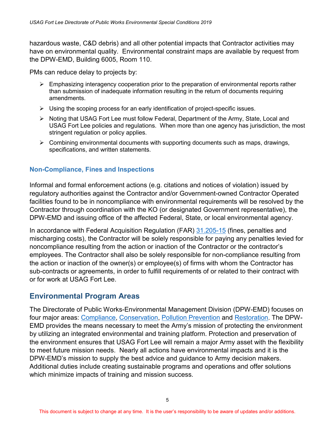hazardous waste, C&D debris) and all other potential impacts that Contractor activities may have on environmental quality. Environmental constraint maps are available by request from the DPW-EMD, Building 6005, Room 110.

PMs can reduce delay to projects by:

- $\triangleright$  Emphasizing interagency cooperation prior to the preparation of environmental reports rather than submission of inadequate information resulting in the return of documents requiring amendments.
- $\triangleright$  Using the scoping process for an early identification of project-specific issues.
- $\triangleright$  Noting that USAG Fort Lee must follow Federal, Department of the Army, State, Local and USAG Fort Lee policies and regulations. When more than one agency has jurisdiction, the most stringent regulation or policy applies.
- $\triangleright$  Combining environmental documents with supporting documents such as maps, drawings, specifications, and written statements.

#### <span id="page-11-0"></span>**Non-Compliance, Fines and Inspections**

Informal and formal enforcement actions (e.g. citations and notices of violation) issued by regulatory authorities against the Contractor and/or Government-owned Contractor Operated facilities found to be in noncompliance with environmental requirements will be resolved by the Contractor through coordination with the KO (or designated Government representative), the DPW-EMD and issuing office of the affected Federal, State, or local environmental agency.

In accordance with Federal Acquisition Regulation (FAR) [31.205-15](https://www.acquisition.gov/?q=/browse/far/31) (fines, penalties and mischarging costs), the Contractor will be solely responsible for paying any penalties levied for noncompliance resulting from the action or inaction of the Contractor or the contractor's employees. The Contractor shall also be solely responsible for non-compliance resulting from the action or inaction of the owner(s) or employee(s) of firms with whom the Contractor has sub-contracts or agreements, in order to fulfill requirements of or related to their contract with or for work at USAG Fort Lee.

# <span id="page-11-1"></span>**Environmental Program Areas**

The Directorate of Public Works-Environmental Management Division (DPW-EMD) focuses on four major areas: [Compliance,](https://home.army.mil/lee/index.php?cID=488) [Conservation,](https://home.army.mil/lee/index.php?cID=483) [Pollution Prevention](https://home.army.mil/lee/index.php?cID=480) and [Restoration.](https://home.army.mil/lee/index.php?cID=488) The DPW-EMD provides the means necessary to meet the Army's mission of protecting the environment by utilizing an integrated environmental and training platform. Protection and preservation of the environment ensures that USAG Fort Lee will remain a major Army asset with the flexibility to meet future mission needs. Nearly all actions have environmental impacts and it is the DPW-EMD's mission to supply the best advice and guidance to Army decision makers. Additional duties include creating sustainable programs and operations and offer solutions which minimize impacts of training and mission success.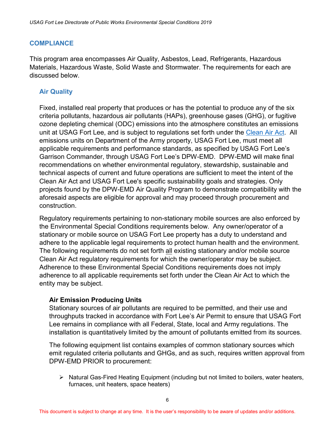#### <span id="page-12-0"></span>**COMPLIANCE**

This program area encompasses Air Quality, Asbestos, Lead, Refrigerants, Hazardous Materials, Hazardous Waste, Solid Waste and Stormwater. The requirements for each are discussed below.

#### <span id="page-12-1"></span>**Air Quality**

Fixed, installed real property that produces or has the potential to produce any of the six criteria pollutants, hazardous air pollutants (HAPs), greenhouse gases (GHG), or fugitive ozone depleting chemical (ODC) emissions into the atmosphere constitutes an emissions unit at USAG Fort Lee, and is subject to regulations set forth under the [Clean Air Act.](https://www.epa.gov/clean-air-act-overview/clean-air-act-text) All emissions units on Department of the Army property, USAG Fort Lee, must meet all applicable requirements and performance standards, as specified by USAG Fort Lee's Garrison Commander, through USAG Fort Lee's DPW-EMD. DPW-EMD will make final recommendations on whether environmental regulatory, stewardship, sustainable and technical aspects of current and future operations are sufficient to meet the intent of the Clean Air Act and USAG Fort Lee's specific sustainability goals and strategies. Only projects found by the DPW-EMD Air Quality Program to demonstrate compatibility with the aforesaid aspects are eligible for approval and may proceed through procurement and construction.

Regulatory requirements pertaining to non-stationary mobile sources are also enforced by the Environmental Special Conditions requirements below. Any owner/operator of a stationary or mobile source on USAG Fort Lee property has a duty to understand and adhere to the applicable legal requirements to protect human health and the environment. The following requirements do not set forth all existing stationary and/or mobile source Clean Air Act regulatory requirements for which the owner/operator may be subject. Adherence to these Environmental Special Conditions requirements does not imply adherence to all applicable requirements set forth under the Clean Air Act to which the entity may be subject.

#### **Air Emission Producing Units**

Stationary sources of air pollutants are required to be permitted, and their use and throughputs tracked in accordance with Fort Lee's Air Permit to ensure that USAG Fort Lee remains in compliance with all Federal, State, local and Army regulations. The installation is quantitatively limited by the amount of pollutants emitted from its sources.

The following equipment list contains examples of common stationary sources which emit regulated criteria pollutants and GHGs, and as such, requires written approval from DPW-EMD PRIOR to procurement:

 $\triangleright$  Natural Gas-Fired Heating Equipment (including but not limited to boilers, water heaters, furnaces, unit heaters, space heaters)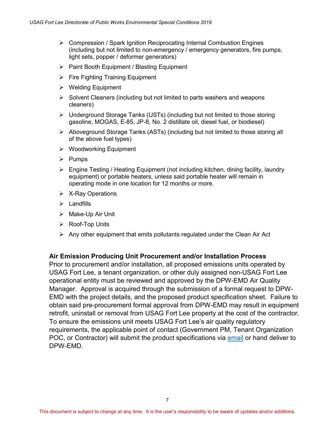- $\triangleright$  Compression / Spark Ignition Reciprocating Internal Combustion Engines (including but not limited to non-emergency / emergency generators, fire pumps, light sets, popper / deformer generators)
- $\triangleright$  Paint Booth Equipment / Blasting Equipment
- $\triangleright$  Fire Fighting Training Equipment
- $\triangleright$  Welding Equipment
- $\triangleright$  Solvent Cleaners (including but not limited to parts washers and weapons cleaners)
- Underground Storage Tanks (USTs) (including but not limited to those storing gasoline, MOGAS, E-85, JP-8, No. 2 distillate oil, diesel fuel, or biodiesel)
- $\triangleright$  Aboveground Storage Tanks (ASTs) (including but not limited to those storing all of the above fuel types)
- $\triangleright$  Woodworking Equipment
- $\triangleright$  Pumps
- $\triangleright$  Engine Testing / Heating Equipment (not including kitchen, dining facility, laundry equipment) or portable heaters, unless said portable heater will remain in operating mode in one location for 12 months or more.
- $\triangleright$  X-Ray Operations
- $\triangleright$  Landfills
- > Make-Up Air Unit
- ▶ Roof-Top Units
- $\triangleright$  Any other equipment that emits pollutants regulated under the Clean Air Act

#### **Air Emission Producing Unit Procurement and/or Installation Process**

Prior to procurement and/or installation, all proposed emissions units operated by USAG Fort Lee, a tenant organization, or other duly assigned non-USAG Fort Lee operational entity must be reviewed and approved by the DPW-EMD Air Quality Manager. Approval is acquired through the submission of a formal request to DPW-EMD with the project details, and the proposed product specification sheet. Failure to obtain said pre-procurement formal approval from DPW-EMD may result in equipment retrofit, uninstall or removal from USAG Fort Lee property at the cost of the contractor. To ensure the emissions unit meets USAG Fort Lee's air quality regulatory requirements, the applicable point of contact (Government PM, Tenant Organization POC, or Contractor) will submit the product specifications via [email](mailto:usarmy.lee.imcom.mbx.leee-dpw-environmental-management@mail.mil) or hand deliver to DPW-EMD.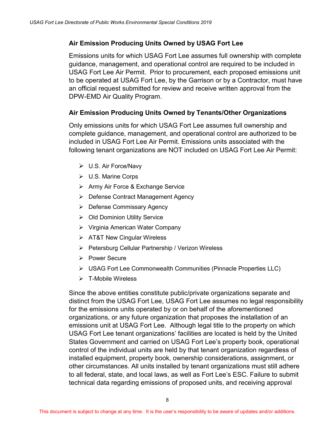#### **Air Emission Producing Units Owned by USAG Fort Lee**

Emissions units for which USAG Fort Lee assumes full ownership with complete guidance, management, and operational control are required to be included in USAG Fort Lee Air Permit. Prior to procurement, each proposed emissions unit to be operated at USAG Fort Lee, by the Garrison or by a Contractor, must have an official request submitted for review and receive written approval from the DPW-EMD Air Quality Program.

#### **Air Emission Producing Units Owned by Tenants/Other Organizations**

 Only emissions units for which USAG Fort Lee assumes full ownership and complete guidance, management, and operational control are authorized to be included in USAG Fort Lee Air Permit. Emissions units associated with the following tenant organizations are NOT included on USAG Fort Lee Air Permit:

- $\triangleright$  U.S. Air Force/Navy
- U.S. Marine Corps
- > Army Air Force & Exchange Service
- Defense Contract Management Agency
- $\triangleright$  Defense Commissary Agency
- **▶ Old Dominion Utility Service**
- Virginia American Water Company
- > AT&T New Cingular Wireless
- ▶ Petersburg Cellular Partnership / Verizon Wireless
- $\triangleright$  Power Secure
- USAG Fort Lee Commonwealth Communities (Pinnacle Properties LLC)
- $\triangleright$  T-Mobile Wireless

Since the above entities constitute public/private organizations separate and distinct from the USAG Fort Lee, USAG Fort Lee assumes no legal responsibility for the emissions units operated by or on behalf of the aforementioned organizations, or any future organization that proposes the installation of an emissions unit at USAG Fort Lee. Although legal title to the property on which USAG Fort Lee tenant organizations' facilities are located is held by the United States Government and carried on USAG Fort Lee's property book, operational control of the individual units are held by that tenant organization regardless of installed equipment, property book, ownership considerations, assignment, or other circumstances. All units installed by tenant organizations must still adhere to all federal, state, and local laws, as well as Fort Lee's ESC. Failure to submit technical data regarding emissions of proposed units, and receiving approval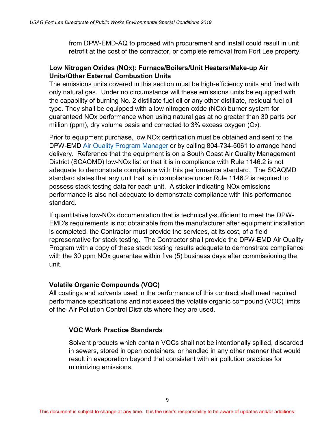from DPW-EMD-AQ to proceed with procurement and install could result in unit retrofit at the cost of the contractor, or complete removal from Fort Lee property.

#### **Low Nitrogen Oxides (NOx): Furnace/Boilers/Unit Heaters/Make-up Air Units/Other External Combustion Units**

The emissions units covered in this section must be high-efficiency units and fired with only natural gas. Under no circumstance will these emissions units be equipped with the capability of burning No. 2 distillate fuel oil or any other distillate, residual fuel oil type. They shall be equipped with a low nitrogen oxide (NOx) burner system for guaranteed NOx performance when using natural gas at no greater than 30 parts per million (ppm), dry volume basis and corrected to  $3\%$  excess oxygen (O<sub>2</sub>).

Prior to equipment purchase, low NOx certification must be obtained and sent to the DPW-EMD [Air Quality Program](mailto:usarmy.lee.imcom.mbx.leee-dpw-environment-management@mail.mil?subject=For:%20%20Air%20Quality%20Program%20Manager) Manager or by calling 804-734-5061 to arrange hand delivery. Reference that the equipment is on a South Coast Air Quality Management District (SCAQMD) low-NOx list or that it is in compliance with Rule 1146.2 is not adequate to demonstrate compliance with this performance standard. The SCAQMD standard states that any unit that is in compliance under Rule 1146.2 is required to possess stack testing data for each unit. A sticker indicating NOx emissions performance is also not adequate to demonstrate compliance with this performance standard.

If quantitative low-NOx documentation that is technically-sufficient to meet the DPW-EMD's requirements is not obtainable from the manufacturer after equipment installation is completed, the Contractor must provide the services, at its cost, of a field representative for stack testing. The Contractor shall provide the DPW-EMD Air Quality Program with a copy of these stack testing results adequate to demonstrate compliance with the 30 ppm NOx guarantee within five (5) business days after commissioning the unit.

#### **Volatile Organic Compounds (VOC)**

All coatings and solvents used in the performance of this contract shall meet required performance specifications and not exceed the volatile organic compound (VOC) limits of the Air Pollution Control Districts where they are used.

#### **VOC Work Practice Standards**

 Solvent products which contain VOCs shall not be intentionally spilled, discarded in sewers, stored in open containers, or handled in any other manner that would result in evaporation beyond that consistent with air pollution practices for minimizing emissions.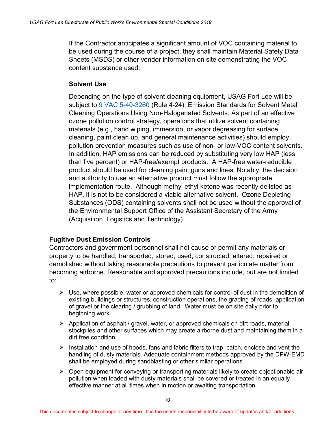If the Contractor anticipates a significant amount of VOC containing material to be used during the course of a project, they shall maintain Material Safety Data Sheets (MSDS) or other vendor information on site demonstrating the VOC content substance used.

#### **Solvent Use**

Depending on the type of solvent cleaning equipment, USAG Fort Lee will be subject to [9 VAC 5-40-3260](http://law.lis.virginia.gov/admincode/title9/agency5/chapter40/section3260/) (Rule 4-24), Emission Standards for Solvent Metal Cleaning Operations Using Non-Halogenated Solvents. As part of an effective ozone pollution control strategy, operations that utilize solvent containing materials (e.g., hand wiping, immersion, or vapor degreasing for surface cleaning, paint clean up, and general maintenance activities) should employ pollution prevention measures such as use of non- or low-VOC content solvents. In addition, HAP emissions can be reduced by substituting very low HAP (less than five percent) or HAP-free/exempt products. A HAP-free water-reducible product should be used for cleaning paint guns and lines. Notably, the decision and authority to use an alternative product must follow the appropriate implementation route. Although methyl ethyl ketone was recently delisted as HAP, it is not to be considered a viable alternative solvent. Ozone Depleting Substances (ODS) containing solvents shall not be used without the approval of the Environmental Support Office of the Assistant Secretary of the Army (Acquisition, Logistics and Technology).

#### **Fugitive Dust Emission Controls**

Contractors and government personnel shall not cause or permit any materials or property to be handled, transported, stored, used, constructed, altered, repaired or demolished without taking reasonable precautions to prevent particulate matter from becoming airborne. Reasonable and approved precautions include, but are not limited to:

- $\triangleright$  Use, where possible, water or approved chemicals for control of dust in the demolition of existing buildings or structures, construction operations, the grading of roads, application of gravel or the clearing / grubbing of land. Water must be on site daily prior to beginning work.
- $\triangleright$  Application of asphalt / gravel, water, or approved chemicals on dirt roads, material stockpiles and other surfaces which may create airborne dust and maintaining them in a dirt free condition.
- $\triangleright$  Installation and use of hoods, fans and fabric filters to trap, catch, enclose and vent the handling of dusty materials. Adequate containment methods approved by the DPW-EMD shall be employed during sandblasting or other similar operations.
- $\triangleright$  Open equipment for conveying or transporting materials likely to create objectionable air pollution when loaded with dusty materials shall be covered or treated in an equally effective manner at all times when in motion or awaiting transportation.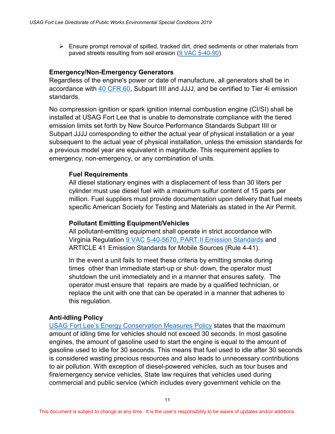$\triangleright$  Ensure prompt removal of spilled, tracked dirt, dried sediments or other materials from paved streets resulting from soil erosion [\(9 VAC 5-40-90\)](http://law.lis.virginia.gov/admincode/title9/agency5/chapter40/section90/).

#### **Emergency/Non-Emergency Generators**

Regardless of the engine's power or date of manufacture, all generators shall be in accordance with [40 CFR 60,](https://www.gpo.gov/fdsys/pkg/CFR-2011-title40-vol6/xml/CFR-2011-title40-vol6-part60.xml) Subpart IIII and JJJJ, and be certified to Tier 4i emission standards.

 No compression ignition or spark ignition internal combustion engine (CI/SI) shall be installed at USAG Fort Lee that is unable to demonstrate compliance with the tiered emission limits set forth by New Source Performance Standards Subpart IIII or Subpart JJJJ corresponding to either the actual year of physical installation or a year subsequent to the actual year of physical installation, unless the emission standards for a previous model year are equivalent in magnitude. This requirement applies to emergency, non-emergency, or any combination of units.

#### **Fuel Requirements**

All diesel stationary engines with a displacement of less than 30 liters per cylinder must use diesel fuel with a maximum sulfur content of 15 parts per million. Fuel suppliers must provide documentation upon delivery that fuel meets specific American Society for Testing and Materials as stated in the Air Permit.

#### **Pollutant Emitting Equipment/Vehicles**

 All pollutant-emitting equipment shall operate in strict accordance with Virginia Regulation [9 VAC 5-40-5670, PART II Emission Standards](http://www.deq.virginia.gov/Portals/0/DEQ/Air/Regulations/441.pdf) and ARTICLE 41 Emission Standards for Mobile Sources (Rule 4-41).

 In the event a unit fails to meet these criteria by emitting smoke during times other than immediate start-up or shut- down, the operator must shutdown the unit immediately and in a manner that ensures safety. The operator must ensure that repairs are made by a qualified technician, or replace the unit with one that can be operated in a manner that adheres to this regulation.

#### **Anti-Idling Policy**

[USAG Fort Lee's Energy Conservation Measures Policy](https://home.army.mil/lee/index.php/about/policies-and-regulations) states that the maximum amount of idling time for vehicles should not exceed 30 seconds. In most gasoline engines, the amount of gasoline used to start the engine is equal to the amount of gasoline used to idle for 30 seconds. This means that fuel used to idle after 30 seconds is considered wasting precious resources and also leads to unnecessary contributions to air pollution. With exception of diesel-powered vehicles, such as tour buses and fire/emergency service vehicles, State law requires that vehicles used during commercial and public service (which includes every government vehicle on the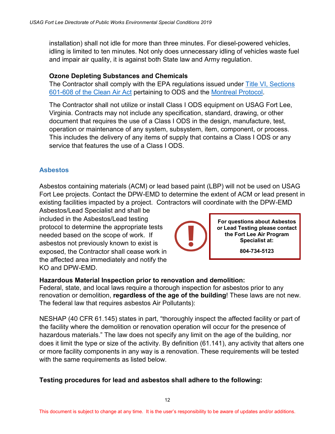installation) shall not idle for more than three minutes. For diesel-powered vehicles, idling is limited to ten minutes. Not only does unnecessary idling of vehicles waste fuel and impair air quality, it is against both State law and Army regulation.

#### **Ozone Depleting Substances and Chemicals**

The Contractor shall comply with the EPA regulations issued under **Title VI**, Sections [601-608 of the Clean Air Act](https://www.epa.gov/clean-air-act-overview/title-vi-stratospheric-ozone-protection) pertaining to ODS and the [Montreal Protocol.](https://www.epa.gov/ozone-layer-protection/international-actions-montreal-protocol-substances-deplete-ozone-layer)

The Contractor shall not utilize or install Class I ODS equipment on USAG Fort Lee, Virginia. Contracts may not include any specification, standard, drawing, or other document that requires the use of a Class I ODS in the design, manufacture, test, operation or maintenance of any system, subsystem, item, component, or process. This includes the delivery of any items of supply that contains a Class I ODS or any service that features the use of a Class I ODS.

#### <span id="page-18-0"></span>**Asbestos**

Asbestos containing materials (ACM) or lead based paint (LBP) will not be used on USAG Fort Lee projects. Contact the DPW-EMD to determine the extent of ACM or lead present in existing facilities impacted by a project. Contractors will coordinate with the DPW-EMD

Asbestos/Lead Specialist and shall be included in the Asbestos/Lead testing protocol to determine the appropriate tests needed based on the scope of work. If asbestos not previously known to exist is exposed, the Contractor shall cease work in the affected area immediately and notify the KO and DPW-EMD.



**804-734-5123**

#### **Hazardous Material Inspection prior to renovation and demolition:**

Federal, state, and local laws require a thorough inspection for asbestos prior to any renovation or demolition, **regardless of the age of the building**! These laws are not new. The federal law that requires asbestos Air Pollutants):

NESHAP (40 CFR 61.145) states in part, "thoroughly inspect the affected facility or part of the facility where the demolition or renovation operation will occur for the presence of hazardous materials." The law does not specify any limit on the age of the building, nor does it limit the type or size of the activity. By definition (61.141), any activity that alters one or more facility components in any way is a renovation. These requirements will be tested with the same requirements as listed below.

#### **Testing procedures for lead and asbestos shall adhere to the following:**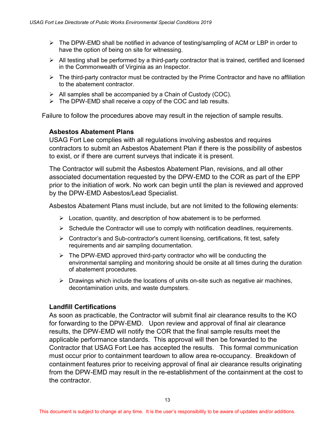- $\triangleright$  The DPW-EMD shall be notified in advance of testing/sampling of ACM or LBP in order to have the option of being on site for witnessing.
- $\triangleright$  All testing shall be performed by a third-party contractor that is trained, certified and licensed in the Commonwealth of Virginia as an Inspector.
- $\triangleright$  The third-party contractor must be contracted by the Prime Contractor and have no affiliation to the abatement contractor.
- $\triangleright$  All samples shall be accompanied by a Chain of Custody (COC).
- $\triangleright$  The DPW-EMD shall receive a copy of the COC and lab results.

Failure to follow the procedures above may result in the rejection of sample results.

#### **Asbestos Abatement Plans**

USAG Fort Lee complies with all regulations involving asbestos and requires contractors to submit an Asbestos Abatement Plan if there is the possibility of asbestos to exist, or if there are current surveys that indicate it is present.

The Contractor will submit the Asbestos Abatement Plan, revisions, and all other associated documentation requested by the DPW-EMD to the COR as part of the EPP prior to the initiation of work. No work can begin until the plan is reviewed and approved by the DPW-EMD Asbestos/Lead Specialist.

Asbestos Abatement Plans must include, but are not limited to the following elements:

- $\triangleright$  Location, quantity, and description of how abatement is to be performed.
- $\triangleright$  Schedule the Contractor will use to comply with notification deadlines, requirements.
- $\triangleright$  Contractor's and Sub-contractor's current licensing, certifications, fit test, safety requirements and air sampling documentation.
- $\triangleright$  The DPW-EMD approved third-party contractor who will be conducting the environmental sampling and monitoring should be onsite at all times during the duration of abatement procedures.
- $\triangleright$  Drawings which include the locations of units on-site such as negative air machines, decontamination units, and waste dumpsters.

#### **Landfill Certifications**

As soon as practicable, the Contractor will submit final air clearance results to the KO for forwarding to the DPW-EMD. Upon review and approval of final air clearance results, the DPW-EMD will notify the COR that the final sample results meet the applicable performance standards. This approval will then be forwarded to the Contractor that USAG Fort Lee has accepted the results. This formal communication must occur prior to containment teardown to allow area re-occupancy. Breakdown of containment features prior to receiving approval of final air clearance results originating from the DPW-EMD may result in the re-establishment of the containment at the cost to the contractor.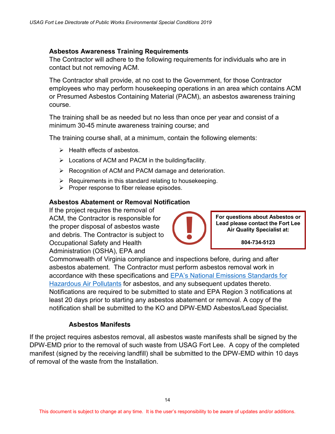#### **Asbestos Awareness Training Requirements**

The Contractor will adhere to the following requirements for individuals who are in contact but not removing ACM.

The Contractor shall provide, at no cost to the Government, for those Contractor employees who may perform housekeeping operations in an area which contains ACM or Presumed Asbestos Containing Material (PACM), an asbestos awareness training course.

The training shall be as needed but no less than once per year and consist of a minimum 30-45 minute awareness training course; and

The training course shall, at a minimum, contain the following elements:

- $\triangleright$  Health effects of asbestos.
- > Locations of ACM and PACM in the building/facility.
- ▶ Recognition of ACM and PACM damage and deterioration.
- $\triangleright$  Requirements in this standard relating to housekeeping.
- $\triangleright$  Proper response to fiber release episodes.

#### **Asbestos Abatement or Removal Notification**

If the project requires the removal of ACM, the Contractor is responsible for the proper disposal of asbestos waste and debris. The Contractor is subject to Occupational Safety and Health Administration (OSHA), EPA and



**For questions about Asbestos or Lead please contact the Fort Lee Air Quality Specialist at:**

**804-734-5123**

Commonwealth of Virginia compliance and inspections before, during and after asbestos abatement. The Contractor must perform asbestos removal work in accordance with these specifications and [EPA's National Emissions Standards for](https://www.epa.gov/asbestos/asbestos-neshap)  [Hazardous Air Pollutants](https://www.epa.gov/asbestos/asbestos-neshap) for asbestos, and any subsequent updates thereto. Notifications are required to be submitted to state and EPA Region 3 notifications at least 20 days prior to starting any asbestos abatement or removal. A copy of the notification shall be submitted to the KO and DPW-EMD Asbestos/Lead Specialist.

#### **Asbestos Manifests**

If the project requires asbestos removal, all asbestos waste manifests shall be signed by the DPW-EMD prior to the removal of such waste from USAG Fort Lee. A copy of the completed manifest (signed by the receiving landfill) shall be submitted to the DPW-EMD within 10 days of removal of the waste from the Installation.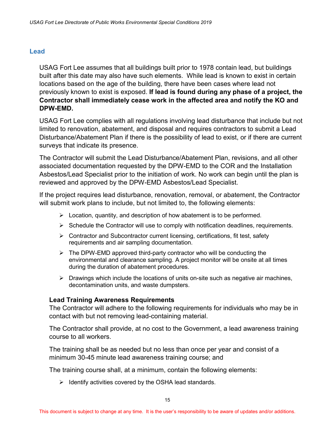#### <span id="page-21-0"></span>**Lead**

USAG Fort Lee assumes that all buildings built prior to 1978 contain lead, but buildings built after this date may also have such elements. While lead is known to exist in certain locations based on the age of the building, there have been cases where lead not previously known to exist is exposed. **If lead is found during any phase of a project, the Contractor shall immediately cease work in the affected area and notify the KO and DPW-EMD.**

USAG Fort Lee complies with all regulations involving lead disturbance that include but not limited to renovation, abatement, and disposal and requires contractors to submit a Lead Disturbance/Abatement Plan if there is the possibility of lead to exist, or if there are current surveys that indicate its presence.

The Contractor will submit the Lead Disturbance/Abatement Plan, revisions, and all other associated documentation requested by the DPW-EMD to the COR and the Installation Asbestos/Lead Specialist prior to the initiation of work. No work can begin until the plan is reviewed and approved by the DPW-EMD Asbestos/Lead Specialist.

If the project requires lead disturbance, renovation, removal, or abatement, the Contractor will submit work plans to include, but not limited to, the following elements:

- $\triangleright$  Location, quantity, and description of how abatement is to be performed.
- $\triangleright$  Schedule the Contractor will use to comply with notification deadlines, requirements.
- $\triangleright$  Contractor and Subcontractor current licensing, certifications, fit test, safety requirements and air sampling documentation.
- $\triangleright$  The DPW-EMD approved third-party contractor who will be conducting the environmental and clearance sampling. A project monitor will be onsite at all times during the duration of abatement procedures.
- $\triangleright$  Drawings which include the locations of units on-site such as negative air machines, decontamination units, and waste dumpsters.

#### **Lead Training Awareness Requirements**

The Contractor will adhere to the following requirements for individuals who may be in contact with but not removing lead-containing material.

The Contractor shall provide, at no cost to the Government, a lead awareness training course to all workers.

The training shall be as needed but no less than once per year and consist of a minimum 30-45 minute lead awareness training course; and

The training course shall, at a minimum, contain the following elements:

 $\triangleright$  Identify activities covered by the OSHA lead standards.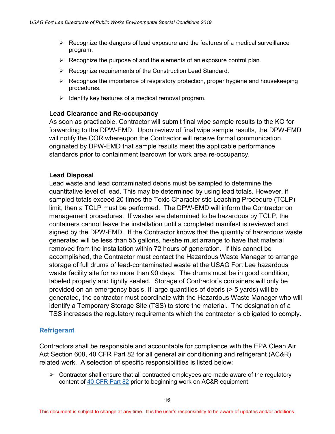- $\triangleright$  Recognize the dangers of lead exposure and the features of a medical surveillance program.
- $\triangleright$  Recognize the purpose of and the elements of an exposure control plan.
- $\triangleright$  Recognize requirements of the Construction Lead Standard.
- $\triangleright$  Recognize the importance of respiratory protection, proper hygiene and housekeeping procedures.
- $\triangleright$  Identify key features of a medical removal program.

#### **Lead Clearance and Re-occupancy**

As soon as practicable, Contractor will submit final wipe sample results to the KO for forwarding to the DPW-EMD. Upon review of final wipe sample results, the DPW-EMD will notify the COR whereupon the Contractor will receive formal communication originated by DPW-EMD that sample results meet the applicable performance standards prior to containment teardown for work area re-occupancy.

#### **Lead Disposal**

Lead waste and lead contaminated debris must be sampled to determine the quantitative level of lead. This may be determined by using lead totals. However, if sampled totals exceed 20 times the Toxic Characteristic Leaching Procedure (TCLP) limit, then a TCLP must be performed. The DPW-EMD will inform the Contractor on management procedures. If wastes are determined to be hazardous by TCLP, the containers cannot leave the installation until a completed manifest is reviewed and signed by the DPW-EMD. If the Contractor knows that the quantity of hazardous waste generated will be less than 55 gallons, he/she must arrange to have that material removed from the installation within 72 hours of generation. If this cannot be accomplished, the Contractor must contact the Hazardous Waste Manager to arrange storage of full drums of lead-contaminated waste at the USAG Fort Lee hazardous waste facility site for no more than 90 days. The drums must be in good condition, labeled properly and tightly sealed. Storage of Contractor's containers will only be provided on an emergency basis. If large quantities of debris (> 5 yards) will be generated, the contractor must coordinate with the Hazardous Waste Manager who will identify a Temporary Storage Site (TSS) to store the material. The designation of a TSS increases the regulatory requirements which the contractor is obligated to comply.

#### <span id="page-22-0"></span>**Refrigerant**

Contractors shall be responsible and accountable for compliance with the EPA Clean Air Act Section 608, 40 CFR Part 82 for all general air conditioning and refrigerant (AC&R) related work. A selection of specific responsibilities is listed below:

 $\triangleright$  Contractor shall ensure that all contracted employees are made aware of the regulatory content of [40 CFR Part 82](http://www.ecfr.gov/cgi-bin/text-idx?SID=92df2e46e59915ac4f28699ec7d1b07e&mc=true&tpl=/ecfrbrowse/Title40/40cfr82_main_02.tpl) prior to beginning work on AC&R equipment.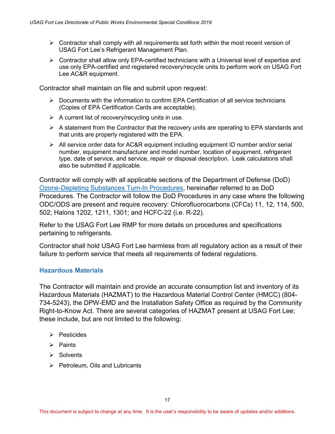- $\triangleright$  Contractor shall comply with all requirements set forth within the most recent version of USAG Fort Lee's Refrigerant Management Plan.
- $\triangleright$  Contractor shall allow only EPA-certified technicians with a Universal level of expertise and use only EPA-certified and registered recovery/recycle units to perform work on USAG Fort Lee AC&R equipment.

Contractor shall maintain on file and submit upon request:

- $\triangleright$  Documents with the information to confirm EPA Certification of all service technicians (Copies of EPA Certification Cards are acceptable).
- $\triangleright$  A current list of recovery/recycling units in use.
- $\triangleright$  A statement from the Contractor that the recovery units are operating to EPA standards and that units are properly registered with the EPA.
- $\triangleright$  All service order data for AC&R equipment including equipment ID number and/or serial number, equipment manufacturer and model number, location of equipment, refrigerant type, date of service, and service, repair or disposal description. Leak calculations shall also be submitted if applicable.

Contractor will comply with all applicable sections of the Department of Defense (DoD) [Ozone-Depleting Substances Turn-In Procedures,](http://www.dla.mil/Portals/104/Documents/Aviation/AviationEngineering/ODSReserve/AV_ODS-TurnInProcedures_160714.pdf) hereinafter referred to as DoD Procedures. The Contractor will follow the DoD Procedures in any case where the following ODC/ODS are present and require recovery: Chlorofluorocarbons (CFCs) 11, 12, 114, 500, 502; Halons 1202, 1211, 1301; and HCFC-22 (i.e. R-22).

Refer to the USAG Fort Lee RMP for more details on procedures and specifications pertaining to refrigerants.

Contractor shall hold USAG Fort Lee harmless from all regulatory action as a result of their failure to perform service that meets all requirements of federal regulations.

#### <span id="page-23-0"></span>**Hazardous Materials**

The Contractor will maintain and provide an accurate consumption list and inventory of its Hazardous Materials (HAZMAT) to the Hazardous Material Control Center (HMCC) (804- 734-5243), the DPW-EMD and the Installation Safety Office as required by the Community Right-to-Know Act. There are several categories of HAZMAT present at USAG Fort Lee; these include, but are not limited to the following:

- $\triangleright$  Pesticides
- $\triangleright$  Paints
- $\triangleright$  Solvents
- $\triangleright$  Petroleum, Oils and Lubricants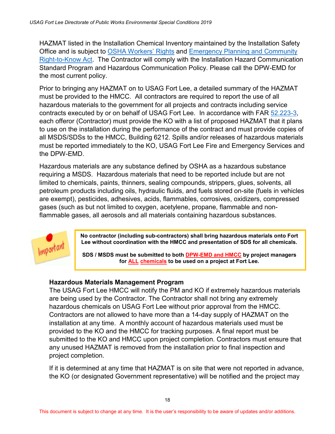HAZMAT listed in the Installation Chemical Inventory maintained by the Installation Safety Office and is subject to [OSHA Workers' Rights](https://www.osha.gov/Publications/osha3021.pdf) and [Emergency Planning and Community](https://www.epa.gov/epcra/what-epcra)  [Right-to-Know Act.](https://www.epa.gov/epcra/what-epcra) The Contractor will comply with the Installation Hazard Communication Standard Program and Hazardous Communication Policy. Please call the DPW-EMD for the most current policy.

Prior to bringing any HAZMAT on to USAG Fort Lee, a detailed summary of the HAZMAT must be provided to the HMCC. All contractors are required to report the use of all hazardous materials to the government for all projects and contracts including service contracts executed by or on behalf of USAG Fort Lee. In accordance with FAR [52.223-3,](https://www.gpo.gov/fdsys/pkg/CFR-2011-title48-vol2/pdf/CFR-2011-title48-vol2-sec52-223-3.pdf) each offeror (Contractor) must provide the KO with a list of proposed HAZMAT that it plans to use on the installation during the performance of the contract and must provide copies of all MSDS/SDSs to the HMCC, Building 6212. Spills and/or releases of hazardous materials must be reported immediately to the KO, USAG Fort Lee Fire and Emergency Services and the DPW-EMD.

Hazardous materials are any substance defined by OSHA as a hazardous substance requiring a MSDS. Hazardous materials that need to be reported include but are not limited to chemicals, paints, thinners, sealing compounds, strippers, glues, solvents, all petroleum products including oils, hydraulic fluids, and fuels stored on-site (fuels in vehicles are exempt), pesticides, adhesives, acids, flammables, corrosives, oxidizers, compressed gases (such as but not limited to oxygen, acetylene, propane, flammable and nonflammable gases, all aerosols and all materials containing hazardous substances.



**No contractor (including sub-contractors) shall bring hazardous materials onto Fort Lee without coordination with the HMCC and presentation of SDS for all chemicals.**

**SDS / MSDS must be submitted to both DPW-EMD and HMCC by project managers for ALL chemicals to be used on a project at Fort Lee.**

#### **Hazardous Materials Management Program**

The USAG Fort Lee HMCC will notify the PM and KO if extremely hazardous materials are being used by the Contractor. The Contractor shall not bring any extremely hazardous chemicals on USAG Fort Lee without prior approval from the HMCC. Contractors are not allowed to have more than a 14-day supply of HAZMAT on the installation at any time. A monthly account of hazardous materials used must be provided to the KO and the HMCC for tracking purposes. A final report must be submitted to the KO and HMCC upon project completion. Contractors must ensure that any unused HAZMAT is removed from the installation prior to final inspection and project completion.

If it is determined at any time that HAZMAT is on site that were not reported in advance, the KO (or designated Government representative) will be notified and the project may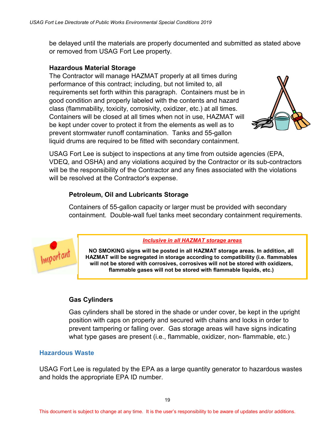be delayed until the materials are properly documented and submitted as stated above or removed from USAG Fort Lee property.

#### **Hazardous Material Storage**

The Contractor will manage HAZMAT properly at all times during performance of this contract; including, but not limited to, all requirements set forth within this paragraph. Containers must be in good condition and properly labeled with the contents and hazard class (flammability, toxicity, corrosivity, oxidizer, etc.) at all times. Containers will be closed at all times when not in use, HAZMAT will be kept under cover to protect it from the elements as well as to prevent stormwater runoff contamination. Tanks and 55-gallon liquid drums are required to be fitted with secondary containment.



USAG Fort Lee is subject to inspections at any time from outside agencies (EPA, VDEQ, and OSHA) and any violations acquired by the Contractor or its sub-contractors will be the responsibility of the Contractor and any fines associated with the violations will be resolved at the Contractor's expense.

#### **Petroleum, Oil and Lubricants Storage**

 Containers of 55-gallon capacity or larger must be provided with secondary containment. Double-wall fuel tanks meet secondary containment requirements.



#### *Inclusive in all HAZMAT storage areas*

**NO SMOKING signs will be posted in all HAZMAT storage areas. In addition, all HAZMAT will be segregated in storage according to compatibility (i.e. flammables will not be stored with corrosives, corrosives will not be stored with oxidizers, flammable gases will not be stored with flammable liquids, etc.)**

#### **Gas Cylinders**

 Gas cylinders shall be stored in the shade or under cover, be kept in the upright position with caps on properly and secured with chains and locks in order to prevent tampering or falling over. Gas storage areas will have signs indicating what type gases are present (i.e., flammable, oxidizer, non- flammable, etc.)

#### <span id="page-25-0"></span>**Hazardous Waste**

USAG Fort Lee is regulated by the EPA as a large quantity generator to hazardous wastes and holds the appropriate EPA ID number.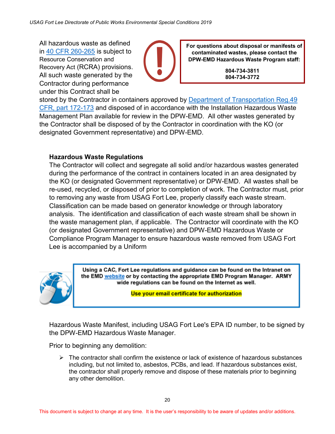All hazardous waste as defined in [40 CFR](https://www.gpo.gov/fdsys/search/pagedetails.action?collectionCode=CFR&searchPath=Title+40%2FChapter+I%2FSubchapter+I&granuleId=&packageId=CFR-2006-title40-vol1&oldPath=Title+40%2FChapter+I&fromPageDetails=true&collapse=true&ycord=2152) 260-265 is subject to Resource Conservation and Recovery Act (RCRA) provisions. All such waste generated by the Contractor during performance under this Contract shall be



**For questions about disposal or manifests of contaminated wastes, please contact the DPW-EMD Hazardous Waste Program staff:**

> **804-734-3811 804-734-3772**

stored by the Contractor in containers approved by [Department of Transportation Reg.49](https://www.gpo.gov/fdsys/pkg/FR-2015-01-08/pdf/2014-30462.pdf)  [CFR, part 172-173](https://www.gpo.gov/fdsys/pkg/FR-2015-01-08/pdf/2014-30462.pdf) and disposed of in accordance with the Installation Hazardous Waste Management Plan available for review in the DPW-EMD. All other wastes generated by the Contractor shall be disposed of by the Contractor in coordination with the KO (or designated Government representative) and DPW-EMD.

#### **Hazardous Waste Regulations**

The Contractor will collect and segregate all solid and/or hazardous wastes generated during the performance of the contract in containers located in an area designated by the KO (or designated Government representative) or DPW-EMD. All wastes shall be re-used, recycled, or disposed of prior to completion of work. The Contractor must, prior to removing any waste from USAG Fort Lee, properly classify each waste stream. Classification can be made based on generator knowledge or through laboratory analysis. The identification and classification of each waste stream shall be shown in the waste management plan, if applicable. The Contractor will coordinate with the KO (or designated Government representative) and DPW-EMD Hazardous Waste or Compliance Program Manager to ensure hazardous waste removed from USAG Fort Lee is accompanied by a Uniform



Using a CAC, Fort Lee regulations and guidance can be found on the Intranet on the EMD website or by contacting the appropriate EMD Program Manager. ARMY wide regulations can be found on the Internet as well.

Use your email certificate for authorization

Hazardous Waste Manifest, including USAG Fort Lee's EPA ID number, to be signed by the DPW-EMD Hazardous Waste Manager.

Prior to beginning any demolition:

 $\triangleright$  The contractor shall confirm the existence or lack of existence of hazardous substances including, but not limited to, asbestos, PCBs, and lead. If hazardous substances exist, the contractor shall properly remove and dispose of these materials prior to beginning any other demolition.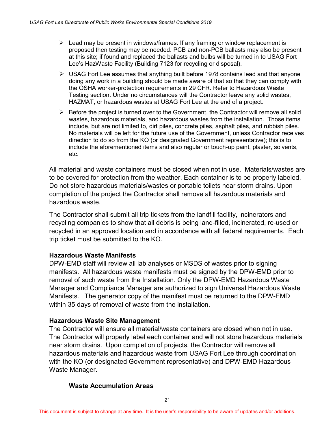- $\triangleright$  Lead may be present in windows/frames. If any framing or window replacement is proposed then testing may be needed. PCB and non-PCB ballasts may also be present at this site; if found and replaced the ballasts and bulbs will be turned in to USAG Fort Lee's HazWaste Facility (Building 7123 for recycling or disposal).
- $\triangleright$  USAG Fort Lee assumes that anything built before 1978 contains lead and that anyone doing any work in a building should be made aware of that so that they can comply with the OSHA worker-protection requirements in 29 CFR. Refer to Hazardous Waste Testing section. Under no circumstances will the Contractor leave any solid wastes, HAZMAT, or hazardous wastes at USAG Fort Lee at the end of a project.
- $\triangleright$  Before the project is turned over to the Government, the Contractor will remove all solid wastes, hazardous materials, and hazardous wastes from the installation. Those items include, but are not limited to, dirt piles, concrete piles, asphalt piles, and rubbish piles. No materials will be left for the future use of the Government, unless Contractor receives direction to do so from the KO (or designated Government representative); this is to include the aforementioned items and also regular or touch-up paint, plaster, solvents, etc.

All material and waste containers must be closed when not in use. Materials/wastes are to be covered for protection from the weather. Each container is to be properly labeled. Do not store hazardous materials/wastes or portable toilets near storm drains. Upon completion of the project the Contractor shall remove all hazardous materials and hazardous waste.

The Contractor shall submit all trip tickets from the landfill facility, incinerators and recycling companies to show that all debris is being land-filled, incinerated, re-used or recycled in an approved location and in accordance with all federal requirements. Each trip ticket must be submitted to the KO.

#### **Hazardous Waste Manifests**

DPW-EMD staff will review all lab analyses or MSDS of wastes prior to signing manifests. All hazardous waste manifests must be signed by the DPW-EMD prior to removal of such waste from the Installation. Only the DPW-EMD Hazardous Waste Manager and Compliance Manager are authorized to sign Universal Hazardous Waste Manifests. The generator copy of the manifest must be returned to the DPW-EMD within 35 days of removal of waste from the installation.

#### **Hazardous Waste Site Management**

The Contractor will ensure all material/waste containers are closed when not in use. The Contractor will properly label each container and will not store hazardous materials near storm drains. Upon completion of projects, the Contractor will remove all hazardous materials and hazardous waste from USAG Fort Lee through coordination with the KO (or designated Government representative) and DPW-EMD Hazardous Waste Manager.

#### **Waste Accumulation Areas**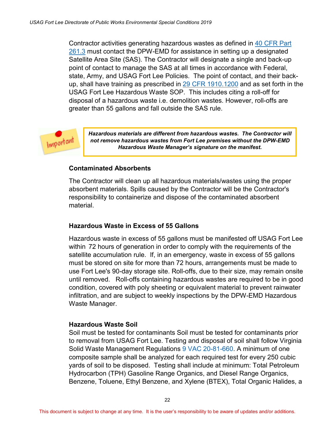Contractor activities generating hazardous wastes as defined in [40 CFR Part](http://www.ecfr.gov/cgi-bin/text-idx?SID=c8274845437c9056c6adbff8cff7b8bb&mc=true&node=pt40.28.261&rgn=div5#se40.28.261_13)  [261.3](http://www.ecfr.gov/cgi-bin/text-idx?SID=c8274845437c9056c6adbff8cff7b8bb&mc=true&node=pt40.28.261&rgn=div5#se40.28.261_13) must contact the DPW-EMD for assistance in setting up a designated Satellite Area Site (SAS). The Contractor will designate a single and back-up point of contact to manage the SAS at all times in accordance with Federal, state, Army, and USAG Fort Lee Policies. The point of contact, and their backup, shall have training as prescribed in [29 CFR 1910.1200](https://www.osha.gov/pls/oshaweb/owadisp.show_document?p_table=standards&p_id=10099) and as set forth in the USAG Fort Lee Hazardous Waste SOP. This includes citing a roll-off for disposal of a hazardous waste i.e. demolition wastes. However, roll-offs are greater than 55 gallons and fall outside the SAS rule.

Important

*Hazardous materials are different from hazardous wastes. The Contractor will not remove hazardous wastes from Fort Lee premises without the DPW-EMD Hazardous Waste Manager's signature on the manifest.*

#### **Contaminated Absorbents**

 The Contractor will clean up all hazardous materials/wastes using the proper absorbent materials. Spills caused by the Contractor will be the Contractor's responsibility to containerize and dispose of the contaminated absorbent material.

#### **Hazardous Waste in Excess of 55 Gallons**

Hazardous waste in excess of 55 gallons must be manifested off USAG Fort Lee within 72 hours of generation in order to comply with the requirements of the satellite accumulation rule. If, in an emergency, waste in excess of 55 gallons must be stored on site for more than 72 hours, arrangements must be made to use Fort Lee's 90-day storage site. Roll-offs, due to their size, may remain onsite until removed. Roll-offs containing hazardous wastes are required to be in good condition, covered with poly sheeting or equivalent material to prevent rainwater infiltration, and are subject to weekly inspections by the DPW-EMD Hazardous Waste Manager.

#### **Hazardous Waste Soil**

Soil must be tested for contaminants Soil must be tested for contaminants prior to removal from USAG Fort Lee. Testing and disposal of soil shall follow Virginia Solid Waste Management Regulations [9 VAC 20-81-660.](http://law.lis.virginia.gov/admincode/title9/agency20/chapter81/section660/) A minimum of one composite sample shall be analyzed for each required test for every 250 cubic yards of soil to be disposed. Testing shall include at minimum: Total Petroleum Hydrocarbon (TPH) Gasoline Range Organics, and Diesel Range Organics, Benzene, Toluene, Ethyl Benzene, and Xylene (BTEX), Total Organic Halides, a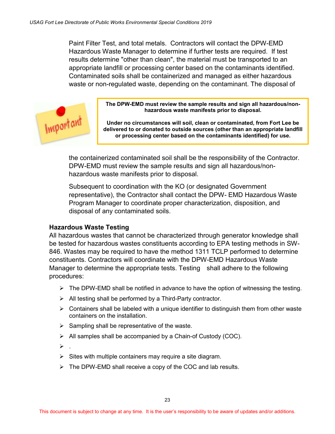Paint Filter Test, and total metals. Contractors will contact the DPW-EMD Hazardous Waste Manager to determine if further tests are required. If test results determine "other than clean", the material must be transported to an appropriate landfill or processing center based on the contaminants identified. Contaminated soils shall be containerized and managed as either hazardous waste or non-regulated waste, depending on the contaminant. The disposal of



**The DPW-EMD must review the sample results and sign all hazardous/nonhazardous waste manifests prior to disposal.**

**Under no circumstances will soil, clean or contaminated, from Fort Lee be delivered to or donated to outside sources (other than an appropriate landfill or processing center based on the contaminants identified) for use.**

the containerized contaminated soil shall be the responsibility of the Contractor. DPW-EMD must review the sample results and sign all hazardous/nonhazardous waste manifests prior to disposal.

Subsequent to coordination with the KO (or designated Government representative), the Contractor shall contact the DPW- EMD Hazardous Waste Program Manager to coordinate proper characterization, disposition, and disposal of any contaminated soils.

#### **Hazardous Waste Testing**

All hazardous wastes that cannot be characterized through generator knowledge shall be tested for hazardous wastes constituents according to EPA testing methods in SW-846. Wastes may be required to have the method 1311 TCLP performed to determine constituents. Contractors will coordinate with the DPW-EMD Hazardous Waste Manager to determine the appropriate tests. Testing shall adhere to the following procedures:

- $\triangleright$  The DPW-EMD shall be notified in advance to have the option of witnessing the testing.
- $\triangleright$  All testing shall be performed by a Third-Party contractor.
- $\triangleright$  Containers shall be labeled with a unique identifier to distinguish them from other waste containers on the installation.
- $\triangleright$  Sampling shall be representative of the waste.
- $\triangleright$  All samples shall be accompanied by a Chain-of Custody (COC).
- $\blacktriangleright$ .
- $\triangleright$  Sites with multiple containers may require a site diagram.
- $\triangleright$  The DPW-EMD shall receive a copy of the COC and lab results.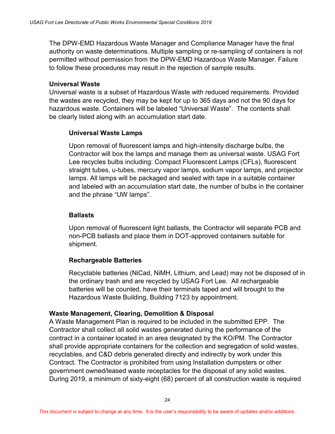The DPW-EMD Hazardous Waste Manager and Compliance Manager have the final authority on waste determinations. Multiple sampling or re-sampling of containers is not permitted without permission from the DPW-EMD Hazardous Waste Manager. Failure to follow these procedures may result in the rejection of sample results.

#### **Universal Waste**

Universal waste is a subset of Hazardous Waste with reduced requirements. Provided the wastes are recycled, they may be kept for up to 365 days and not the 90 days for hazardous waste. Containers will be labeled "Universal Waste". The contents shall be clearly listed along with an accumulation start date.

#### **Universal Waste Lamps**

Upon removal of fluorescent lamps and high-intensity discharge bulbs, the Contractor will box the lamps and manage them as universal waste. USAG Fort Lee recycles bulbs including: Compact Fluorescent Lamps (CFLs), fluorescent straight tubes, u-tubes, mercury vapor lamps, sodium vapor lamps, and projector lamps. All lamps will be packaged and sealed with tape in a suitable container and labeled with an accumulation start date, the number of bulbs in the container and the phrase "UW lamps".

#### **Ballasts**

Upon removal of fluorescent light ballasts, the Contractor will separate PCB and non-PCB ballasts and place them in DOT-approved containers suitable for shipment.

#### **Rechargeable Batteries**

Recyclable batteries (NiCad, NiMH, Lithium, and Lead) may not be disposed of in the ordinary trash and are recycled by USAG Fort Lee. All rechargeable batteries will be counted, have their terminals taped and will brought to the Hazardous Waste Building, Building 7123 by appointment.

#### **Waste Management, Clearing, Demolition & Disposal**

A Waste Management Plan is required to be included in the submitted EPP. The Contractor shall collect all solid wastes generated during the performance of the contract in a container located in an area designated by the KO/PM. The Contractor shall provide appropriate containers for the collection and segregation of solid wastes, recyclables, and C&D debris generated directly and indirectly by work under this Contract. The Contractor is prohibited from using Installation dumpsters or other government owned/leased waste receptacles for the disposal of any solid wastes. During 2019, a minimum of sixty-eight (68) percent of all construction waste is required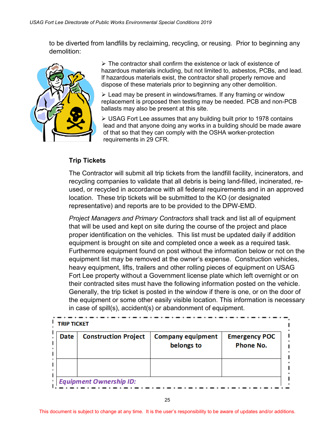to be diverted from landfills by reclaiming, recycling, or reusing. Prior to beginning any demolition:



 $\triangleright$  The contractor shall confirm the existence or lack of existence of hazardous materials including, but not limited to, asbestos, PCBs, and lead. If hazardous materials exist, the contractor shall properly remove and dispose of these materials prior to beginning any other demolition.

 $\geq$  Lead may be present in windows/frames. If any framing or window replacement is proposed then testing may be needed. PCB and non-PCB ballasts may also be present at this site.

 $\triangleright$  USAG Fort Lee assumes that any building built prior to 1978 contains lead and that anyone doing any works in a building should be made aware of that so that they can comply with the OSHA worker-protection requirements in 29 CFR.

#### **Trip Tickets**

 The Contractor will submit all trip tickets from the landfill facility, incinerators, and recycling companies to validate that all debris is being land-filled, incinerated, re used, or recycled in accordance with all federal requirements and in an approved location. These trip tickets will be submitted to the KO (or designated representative) and reports are to be provided to the DPW-EMD.

*Project Managers and Primary Contractors* shall track and list all of equipment that will be used and kept on site during the course of the project and place proper identification on the vehicles. This list must be updated daily if addition equipment is brought on site and completed once a week as a required task. Furthermore equipment found on post without the information below or not on the equipment list may be removed at the owner's expense. Construction vehicles, heavy equipment, lifts, trailers and other rolling pieces of equipment on USAG Fort Lee property without a Government license plate which left overnight or on their contracted sites must have the following information posted on the vehicle. Generally, the trip ticket is posted in the window if there is one, or on the door of the equipment or some other easily visible location. This information is necessary in case of spill(s), accident(s) or abandonment of equipment.

| <b>Date</b> | <b>Construction Project</b> | <b>Company equipment</b><br>belongs to | <b>Emergency POC</b><br><b>Phone No.</b> |
|-------------|-----------------------------|----------------------------------------|------------------------------------------|
|             |                             |                                        |                                          |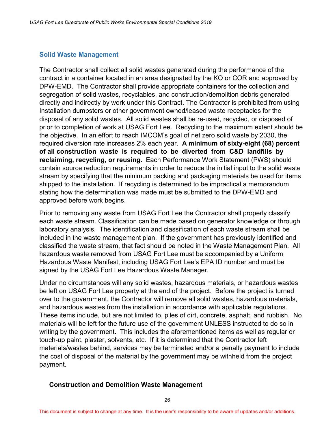#### <span id="page-32-0"></span>**Solid Waste Management**

The Contractor shall collect all solid wastes generated during the performance of the contract in a container located in an area designated by the KO or COR and approved by DPW-EMD. The Contractor shall provide appropriate containers for the collection and segregation of solid wastes, recyclables, and construction/demolition debris generated directly and indirectly by work under this Contract. The Contractor is prohibited from using Installation dumpsters or other government owned/leased waste receptacles for the disposal of any solid wastes. All solid wastes shall be re-used, recycled, or disposed of prior to completion of work at USAG Fort Lee. Recycling to the maximum extent should be the objective. In an effort to reach IMCOM's goal of net zero solid waste by 2030, the required diversion rate increases 2% each year. **A minimum of sixty-eight (68) percent of all construction waste is required to be diverted from C&D landfills by reclaiming, recycling, or reusing.** Each Performance Work Statement (PWS) should contain source reduction requirements in order to reduce the initial input to the solid waste stream by specifying that the minimum packing and packaging materials be used for items shipped to the installation. If recycling is determined to be impractical a memorandum stating how the determination was made must be submitted to the DPW-EMD and approved before work begins.

Prior to removing any waste from USAG Fort Lee the Contractor shall properly classify each waste stream. Classification can be made based on generator knowledge or through laboratory analysis. The identification and classification of each waste stream shall be included in the waste management plan. If the government has previously identified and classified the waste stream, that fact should be noted in the Waste Management Plan. All hazardous waste removed from USAG Fort Lee must be accompanied by a Uniform Hazardous Waste Manifest, including USAG Fort Lee's EPA ID number and must be signed by the USAG Fort Lee Hazardous Waste Manager.

Under no circumstances will any solid wastes, hazardous materials, or hazardous wastes be left on USAG Fort Lee property at the end of the project. Before the project is turned over to the government, the Contractor will remove all solid wastes, hazardous materials, and hazardous wastes from the installation in accordance with applicable regulations. These items include, but are not limited to, piles of dirt, concrete, asphalt, and rubbish. No materials will be left for the future use of the government UNLESS instructed to do so in writing by the government. This includes the aforementioned items as well as regular or touch-up paint, plaster, solvents, etc. If it is determined that the Contractor left materials/wastes behind, services may be terminated and/or a penalty payment to include the cost of disposal of the material by the government may be withheld from the project payment.

#### **Construction and Demolition Waste Management**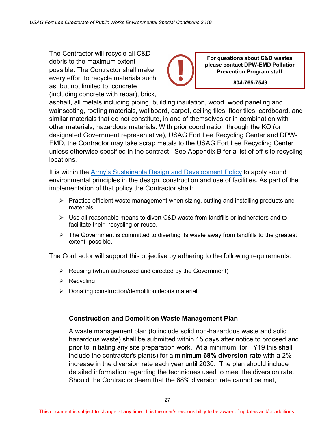The Contractor will recycle all C&D debris to the maximum extent possible. The Contractor shall make every effort to recycle materials such as, but not limited to, concrete (including concrete with rebar), brick,

**For questions about C&D wastes, please contact DPW-EMD Pollution Prevention Program staff:**

**804-765-7549**

asphalt, all metals including piping, building insulation, wood, wood paneling and wainscoting, roofing materials, wallboard, carpet, ceiling tiles, floor tiles, cardboard, and similar materials that do not constitute, in and of themselves or in combination with other materials, hazardous materials. With prior coordination through the KO (or designated Government representative), USAG Fort Lee Recycling Center and DPW-EMD, the Contractor may take scrap metals to the USAG Fort Lee Recycling Center unless otherwise specified in the contract. See Appendix B for a list of off-site recycling locations.

It is within the [Army's Sustainable Design and Development Policy](http://www.asaie.army.mil/Public/IE/doc/Sustainable%20Design%20and%20Dev%20Policy%20Update.pdf) to apply sound environmental principles in the design, construction and use of facilities. As part of the implementation of that policy the Contractor shall:

- $\triangleright$  Practice efficient waste management when sizing, cutting and installing products and materials.
- $\triangleright$  Use all reasonable means to divert C&D waste from landfills or incinerators and to facilitate their recycling or reuse.
- $\triangleright$  The Government is committed to diverting its waste away from landfills to the greatest extent possible.

The Contractor will support this objective by adhering to the following requirements:

- $\triangleright$  Reusing (when authorized and directed by the Government)
- $\triangleright$  Recycling
- $\triangleright$  Donating construction/demolition debris material.

#### **Construction and Demolition Waste Management Plan**

A waste management plan (to include solid non-hazardous waste and solid hazardous waste) shall be submitted within 15 days after notice to proceed and prior to initiating any site preparation work. At a minimum, for FY19 this shall include the contractor's plan(s) for a minimum **68% diversion rate** with a 2% increase in the diversion rate each year until 2030. The plan should include detailed information regarding the techniques used to meet the diversion rate. Should the Contractor deem that the 68% diversion rate cannot be met,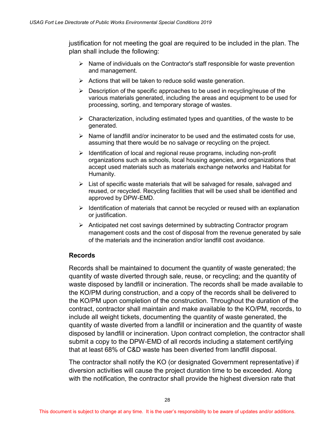justification for not meeting the goal are required to be included in the plan. The plan shall include the following:

- $\triangleright$  Name of individuals on the Contractor's staff responsible for waste prevention and management.
- $\triangleright$  Actions that will be taken to reduce solid waste generation.
- $\triangleright$  Description of the specific approaches to be used in recycling/reuse of the various materials generated, including the areas and equipment to be used for processing, sorting, and temporary storage of wastes.
- $\triangleright$  Characterization, including estimated types and quantities, of the waste to be generated.
- $\triangleright$  Name of landfill and/or incinerator to be used and the estimated costs for use, assuming that there would be no salvage or recycling on the project.
- $\triangleright$  Identification of local and regional reuse programs, including non-profit organizations such as schools, local housing agencies, and organizations that accept used materials such as materials exchange networks and Habitat for Humanity.
- $\triangleright$  List of specific waste materials that will be salvaged for resale, salvaged and reused, or recycled. Recycling facilities that will be used shall be identified and approved by DPW-EMD.
- $\triangleright$  Identification of materials that cannot be recycled or reused with an explanation or justification.
- $\triangleright$  Anticipated net cost savings determined by subtracting Contractor program management costs and the cost of disposal from the revenue generated by sale of the materials and the incineration and/or landfill cost avoidance.

#### **Records**

Records shall be maintained to document the quantity of waste generated; the quantity of waste diverted through sale, reuse, or recycling; and the quantity of waste disposed by landfill or incineration. The records shall be made available to the KO/PM during construction, and a copy of the records shall be delivered to the KO/PM upon completion of the construction. Throughout the duration of the contract, contractor shall maintain and make available to the KO/PM, records, to include all weight tickets, documenting the quantity of waste generated, the quantity of waste diverted from a landfill or incineration and the quantity of waste disposed by landfill or incineration. Upon contract completion, the contractor shall submit a copy to the DPW-EMD of all records including a statement certifying that at least 68% of C&D waste has been diverted from landfill disposal.

The contractor shall notify the KO (or designated Government representative) if diversion activities will cause the project duration time to be exceeded. Along with the notification, the contractor shall provide the highest diversion rate that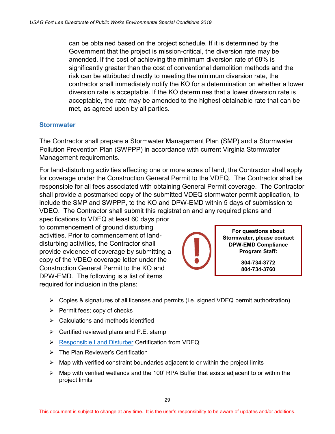can be obtained based on the project schedule. If it is determined by the Government that the project is mission-critical, the diversion rate may be amended. If the cost of achieving the minimum diversion rate of 68% is significantly greater than the cost of conventional demolition methods and the risk can be attributed directly to meeting the minimum diversion rate, the contractor shall immediately notify the KO for a determination on whether a lower diversion rate is acceptable. If the KO determines that a lower diversion rate is acceptable, the rate may be amended to the highest obtainable rate that can be met, as agreed upon by all parties.

#### <span id="page-35-0"></span>**Stormwater**

The Contractor shall prepare a Stormwater Management Plan (SMP) and a Stormwater Pollution Prevention Plan (SWPPP) in accordance with current Virginia Stormwater Management requirements.

For land-disturbing activities affecting one or more acres of land, the Contractor shall apply for coverage under the Construction General Permit to the VDEQ. The Contractor shall be responsible for all fees associated with obtaining General Permit coverage. The Contractor shall provide a postmarked copy of the submitted VDEQ stormwater permit application, to include the SMP and SWPPP, to the KO and DPW-EMD within 5 days of submission to VDEQ. The Contractor shall submit this registration and any required plans and

specifications to VDEQ at least 60 days prior to commencement of ground disturbing activities. Prior to commencement of landdisturbing activities, the Contractor shall provide evidence of coverage by submitting a copy of the VDEQ coverage letter under the Construction General Permit to the KO and DPW-EMD. The following is a list of items required for inclusion in the plans:



**For questions about Stormwater, please contact DPW-EMD Compliance Program Staff:**

> **804-734-3772 804-734-3760**

- $\triangleright$  Copies & signatures of all licenses and permits (i.e. signed VDEQ permit authorization)
- $\triangleright$  Permit fees; copy of checks
- $\triangleright$  Calculations and methods identified
- $\triangleright$  Certified reviewed plans and P.E. stamp
- **[Responsible Land Disturber](http://www.deq.virginia.gov/ConnectWithDEQ/TrainingCertification/RLDGeneralInformation.aspx) Certification from VDEQ**
- > The Plan Reviewer's Certification
- $\triangleright$  Map with verified constraint boundaries adjacent to or within the project limits
- $\triangleright$  Map with verified wetlands and the 100' RPA Buffer that exists adjacent to or within the project limits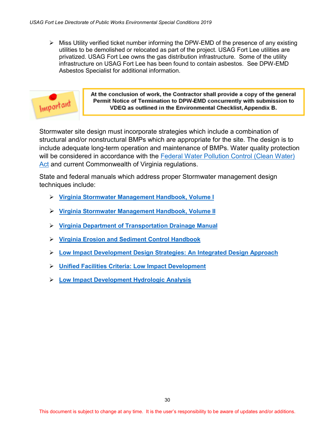$\triangleright$  Miss Utility verified ticket number informing the DPW-EMD of the presence of any existing utilities to be demolished or relocated as part of the project. USAG Fort Lee utilities are privatized. USAG Fort Lee owns the gas distribution infrastructure. Some of the utility infrastructure on USAG Fort Lee has been found to contain asbestos. See DPW-EMD Asbestos Specialist for additional information.



At the conclusion of work, the Contractor shall provide a copy of the general Permit Notice of Termination to DPW-EMD concurrently with submission to VDEQ as outlined in the Environmental Checklist, Appendix B.

Stormwater site design must incorporate strategies which include a combination of structural and/or nonstructural BMPs which are appropriate for the site. The design is to include adequate long-term operation and maintenance of BMPs. Water quality protection will be considered in accordance with the [Federal Water Pollution Control \(Clean Water\)](http://www.epw.senate.gov/water.pdf) [Act](http://www.epw.senate.gov/water.pdf) and current Commonwealth of Virginia regulations.

State and federal manuals which address proper Stormwater management design techniques include:

- **[Virginia Stormwater Management Handbook, Volume I](http://www.deq.virginia.gov/Portals/0/DEQ/Water/Publications/HndbkVolumeI.pdf)**
- **[Virginia Stormwater Management Handbook, Volume II](http://www.deq.virginia.gov/Portals/0/DEQ/Water/StormwaterManagement/SWMHandbookVolume%20II.pdf)**
- **[Virginia Department of Transportation Drainage Manual](http://www.virginiadot.org/business/resources/LocDes/DrainageManual/START_VDOT_Drainage_Manual.pdf)**
- **[Virginia Erosion and Sediment Control Handbook](http://www.deq.virginia.gov/Programs/Water/StormwaterManagement/Publications/ESCHandbook.aspx)**
- **[Low Impact Development Design Strategies: An Integrated Design Approach](https://nepis.epa.gov/Exe/ZyNET.exe/20004JX4.txt?ZyActionD=ZyDocument&Client=EPA&Index=2000%20Thru%202005&Docs=&Query=&Time=&EndTime=&SearchMethod=1&TocRestrict=n&Toc=&TocEntry=&QField=&QFieldYear=&QFieldMonth=&QFieldDay=&UseQField=&IntQFieldOp=0&ExtQFieldOp=0&XmlQuery=&File=D%3A%5CZYFILES%5CINDEX%20DATA%5C00THRU05%5CTXT%5C00000001%5C20004JX4.txt&User=ANONYMOUS&Password=anonymous&SortMethod=h%7C-&MaximumDocuments=1&FuzzyDegree=0&ImageQuality=r75g8/r75g8/x150y150g16/i425&Display=hpfr&DefSeekPage=x&SearchBack=ZyActionL&Back=ZyActionS&BackDesc=Results%20page&MaximumPages=1&ZyEntry=1)**
- **Unified Facilities Criteria: [Low Impact Development](https://www.wbdg.org/ccb/DOD/UFC/ufc_3_210_10.pdf)**
- **[Low Impact Development Hydrologic Analysis](https://nepis.epa.gov/Adobe/PDF/20004JTW.PDF)**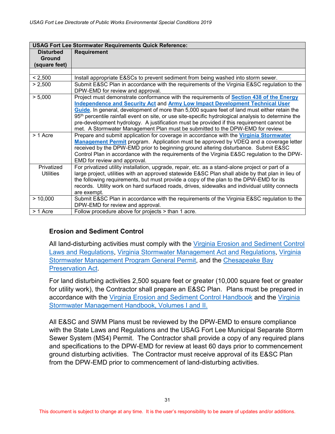| <b>USAG Fort Lee Stormwater Requirements Quick Reference:</b> |                                                                                                                                                                                                                                                                                                                                                                                                                                                                                                                                                                                  |  |
|---------------------------------------------------------------|----------------------------------------------------------------------------------------------------------------------------------------------------------------------------------------------------------------------------------------------------------------------------------------------------------------------------------------------------------------------------------------------------------------------------------------------------------------------------------------------------------------------------------------------------------------------------------|--|
| <b>Disturbed</b>                                              | <b>Requirement</b>                                                                                                                                                                                                                                                                                                                                                                                                                                                                                                                                                               |  |
| <b>Ground</b>                                                 |                                                                                                                                                                                                                                                                                                                                                                                                                                                                                                                                                                                  |  |
| (square feet)                                                 |                                                                                                                                                                                                                                                                                                                                                                                                                                                                                                                                                                                  |  |
|                                                               |                                                                                                                                                                                                                                                                                                                                                                                                                                                                                                                                                                                  |  |
| < 2,500                                                       | Install appropriate E&SCs to prevent sediment from being washed into storm sewer.                                                                                                                                                                                                                                                                                                                                                                                                                                                                                                |  |
| > 2,500                                                       | Submit E&SC Plan in accordance with the requirements of the Virginia E&SC regulation to the<br>DPW-EMD for review and approval.                                                                                                                                                                                                                                                                                                                                                                                                                                                  |  |
| > 5,000                                                       | Project must demonstrate conformance with the requirements of Section 438 of the Energy<br><b>Independence and Security Act and Army Low Impact Development Technical User</b><br>Guide. In general, development of more than 5,000 square feet of land must either retain the<br>95 <sup>th</sup> percentile rainfall event on site, or use site-specific hydrological analysis to determine the<br>pre-development hydrology. A justification must be provided if this requirement cannot be<br>met. A Stormwater Management Plan must be submitted to the DPW-EMD for review. |  |
| > 1 Acre                                                      | Prepare and submit application for coverage in accordance with the Virginia Stormwater<br>Management Permit program. Application must be approved by VDEQ and a coverage letter<br>received by the DPW-EMD prior to beginning ground altering disturbance. Submit E&SC<br>Control Plan in accordance with the requirements of the Virginia E&SC regulation to the DPW-<br>EMD for review and approval.                                                                                                                                                                           |  |
| Privatized<br><b>Utilities</b>                                | For privatized utility installation, upgrade, repair, etc. as a stand-alone project or part of a<br>large project, utilities with an approved statewide E&SC Plan shall abide by that plan in lieu of<br>the following requirements, but must provide a copy of the plan to the DPW-EMD for its<br>records. Utility work on hard surfaced roads, drives, sidewalks and individual utility connects<br>are exempt.                                                                                                                                                                |  |
| > 10,000                                                      | Submit E&SC Plan in accordance with the requirements of the Virginia E&SC regulation to the<br>DPW-EMD for review and approval.                                                                                                                                                                                                                                                                                                                                                                                                                                                  |  |
| > 1 Acre                                                      | Follow procedure above for projects > than 1 acre.                                                                                                                                                                                                                                                                                                                                                                                                                                                                                                                               |  |

#### **Erosion and Sediment Control**

All land-disturbing activities must comply with the [Virginia Erosion and Sediment Control](http://www.deq.virginia.gov/Portals/0/DEQ/ConnectwithDEQ/Training/ESC/ESC_LawandRegulations.pdf) [Laws and Regulations,](http://www.deq.virginia.gov/Portals/0/DEQ/ConnectwithDEQ/Training/ESC/ESC_LawandRegulations.pdf) [Virginia Stormwater Management Act and Regulations,](http://law.lis.virginia.gov/admincode/title9/agency25/chapter870/) [Virginia](http://www.deq.virginia.gov/Programs/Water/StormwaterManagement/VSMPPermits/ConstructionGeneralPermit.aspx)  [Stormwater Management Program General Permit,](http://www.deq.virginia.gov/Programs/Water/StormwaterManagement/VSMPPermits/ConstructionGeneralPermit.aspx) and the [Chesapeake Bay](http://law.lis.virginia.gov/vacodefull/title62.1/chapter3.1/article2.5/)  [Preservation Act.](http://law.lis.virginia.gov/vacodefull/title62.1/chapter3.1/article2.5/)

For land disturbing activities 2,500 square feet or greater (10,000 square feet or greater for utility work), the Contractor shall prepare an E&SC Plan. Plans must be prepared in accordance with the [Virginia Erosion and Sediment Control](http://www.deq.virginia.gov/Programs/Water/StormwaterManagement/Publications/ESCHandbook.aspx) Handbook and the [Virginia](http://www.deq.virginia.gov/Programs/Water/StormwaterManagement/Publications.aspx)  [Stormwater Management Handbook, Volumes I and II.](http://www.deq.virginia.gov/Programs/Water/StormwaterManagement/Publications.aspx)

All E&SC and SWM Plans must be reviewed by the DPW-EMD to ensure compliance with the State Laws and Regulations and the USAG Fort Lee Municipal Separate Storm Sewer System (MS4) Permit. The Contractor shall provide a copy of any required plans and specifications to the DPW-EMD for review at least 60 days prior to commencement ground disturbing activities. The Contractor must receive approval of its E&SC Plan from the DPW-EMD prior to commencement of land-disturbing activities.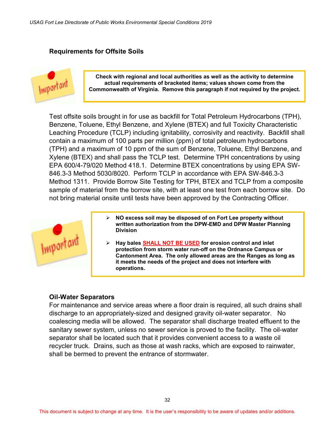#### **Requirements for Offsite Soils**



**Check with regional and local authorities as well as the activity to determine actual requirements of bracketed items; values shown come from the Commonwealth of Virginia. Remove this paragraph if not required by the project.**

Test offsite soils brought in for use as backfill for Total Petroleum Hydrocarbons (TPH), Benzene, Toluene, Ethyl Benzene, and Xylene (BTEX) and full Toxicity Characteristic Leaching Procedure (TCLP) including ignitability, corrosivity and reactivity. Backfill shall contain a maximum of 100 parts per million (ppm) of total petroleum hydrocarbons (TPH) and a maximum of 10 ppm of the sum of Benzene, Toluene, Ethyl Benzene, and Xylene (BTEX) and shall pass the TCLP test. Determine TPH concentrations by using EPA 600/4-79/020 Method 418.1. Determine BTEX concentrations by using EPA SW-846.3-3 Method 5030/8020. Perform TCLP in accordance with EPA SW-846.3-3 Method 1311. Provide Borrow Site Testing for TPH, BTEX and TCLP from a composite sample of material from the borrow site, with at least one test from each borrow site. Do not bring material onsite until tests have been approved by the Contracting Officer.



- **NO excess soil may be disposed of on Fort Lee property without written authorization from the DPW-EMD and DPW Master Planning Division**
- **Hay bales SHALL NOT BE USED for erosion control and inlet protection from storm water run-off on the Ordnance Campus or Cantonment Area. The only allowed areas are the Ranges as long as it meets the needs of the project and does not interfere with operations.**

#### **Oil-Water Separators**

For maintenance and service areas where a floor drain is required, all such drains shall discharge to an appropriately-sized and designed gravity oil-water separator. No coalescing media will be allowed. The separator shall discharge treated effluent to the sanitary sewer system, unless no sewer service is proved to the facility. The oil-water separator shall be located such that it provides convenient access to a waste oil recycler truck. Drains, such as those at wash racks, which are exposed to rainwater, shall be bermed to prevent the entrance of stormwater.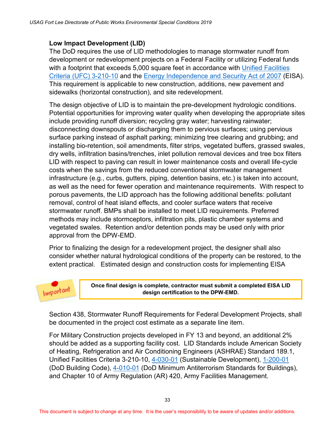#### **Low Impact Development (LID)**

The DoD requires the use of LID methodologies to manage stormwater runoff from development or redevelopment projects on a Federal Facility or utilizing Federal funds with a footprint that exceeds 5,000 square feet in accordance with Unified Facilities [Criteria \(UFC\) 3-210-10](http://www.wbdg.org/ccb/DOD/UFC/ufc_3_210_10.pdf) and the [Energy Independence and Security Act](https://www.gpo.gov/fdsys/pkg/BILLS-110hr6enr/pdf/BILLS-110hr6enr.pdf) of 2007 (EISA). This requirement is applicable to new construction, additions, new pavement and sidewalks (horizontal construction), and site redevelopment.

The design objective of LID is to maintain the pre-development hydrologic conditions. Potential opportunities for improving water quality when developing the appropriate sites include providing runoff diversion; recycling gray water; harvesting rainwater; disconnecting downspouts or discharging them to pervious surfaces; using pervious surface parking instead of asphalt parking; minimizing tree clearing and grubbing; and installing bio-retention, soil amendments, filter strips, vegetated buffers, grassed swales, dry wells, infiltration basins/trenches, inlet pollution removal devices and tree box filters LID with respect to paving can result in lower maintenance costs and overall life-cycle costs when the savings from the reduced conventional stormwater management infrastructure (e.g., curbs, gutters, piping, detention basins, etc.) is taken into account, as well as the need for fewer operation and maintenance requirements. With respect to porous pavements, the LID approach has the following additional benefits: pollutant removal, control of heat island effects, and cooler surface waters that receive stormwater runoff. BMPs shall be installed to meet LID requirements. Preferred methods may include stormceptors, infiltration pits, plastic chamber systems and vegetated swales. Retention and/or detention ponds may be used only with prior approval from the DPW-EMD.

Prior to finalizing the design for a redevelopment project, the designer shall also consider whether natural hydrological conditions of the property can be restored, to the extent practical. Estimated design and construction costs for implementing EISA



**Once final design is complete, contractor must submit a completed EISA LID design certification to the DPW-EMD.**

Section 438, Stormwater Runoff Requirements for Federal Development Projects, shall be documented in the project cost estimate as a separate line item.

For Military Construction projects developed in FY 13 and beyond, an additional 2% should be added as a supporting facility cost. LID Standards include American Society of Heating, Refrigeration and Air Conditioning Engineers (ASHRAE) Standard 189.1, Unified Facilities Criteria 3-210-10, [4-030-01](https://www.wbdg.org/ccb/DOD/UFC/ARCHIVES/ufc_4_030_01.pdf) (Sustainable Development), [1-200-01](http://www.wbdg.org/ccb/DOD/UFC/ufc_1_200_01.pdf) (DoD Building Code), [4-010-01](http://www.wbdg.org/ccb/DOD/UFC/ufc_4_010_01.pdf) (DoD Minimum Antiterrorism Standards for Buildings), and Chapter 10 of Army Regulation (AR) 420, Army Facilities Management.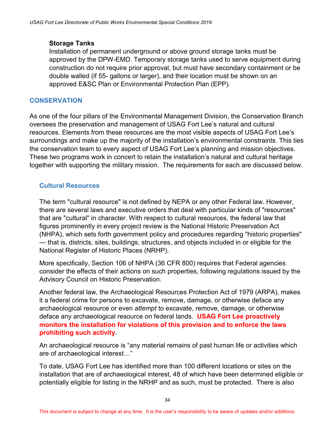#### **Storage Tanks**

Installation of permanent underground or above ground storage tanks must be approved by the DPW-EMD. Temporary storage tanks used to serve equipment during construction do not require prior approval, but must have secondary containment or be double walled (if 55- gallons or larger), and their location must be shown on an approved E&SC Plan or Environmental Protection Plan (EPP).

#### <span id="page-40-0"></span>**CONSERVATION**

As one of the four pillars of the Environmental Management Division, the Conservation Branch oversees the preservation and management of USAG Fort Lee's natural and cultural resources. Elements from these resources are the most visible aspects of USAG Fort Lee's surroundings and make up the majority of the installation's environmental constraints. This ties the conservation team to every aspect of USAG Fort Lee's planning and mission objectives. These two programs work in concert to retain the installation's natural and cultural heritage together with supporting the military mission. The requirements for each are discussed below.

#### <span id="page-40-1"></span>**Cultural Resources**

The term "cultural resource" is not defined by NEPA or any other Federal law. However, there are several laws and executive orders that deal with particular kinds of "resources" that are "cultural" in character. With respect to cultural resources, the federal law that figures prominently in every project review is the National Historic Preservation Act (NHPA), which sets forth government policy and procedures regarding "historic properties" — that is, districts, sites, buildings, structures, and objects included in or eligible for the National Register of Historic Places (NRHP).

More specifically, Section 106 of NHPA (36 CFR 800) requires that Federal agencies consider the effects of their actions on such properties, following regulations issued by the Advisory Council on Historic Preservation.

Another federal law, the Archaeological Resources Protection Act of 1979 (ARPA), makes it a federal crime for persons to excavate, remove, damage, or otherwise deface any archaeological resource or even *attempt* to excavate, remove, damage, or otherwise deface any archaeological resource on federal lands. **USAG Fort Lee proactively monitors the installation for violations of this provision and to enforce the laws prohibiting such activity**.

An archaeological resource is "any material remains of past human life or activities which are of archaeological interest…"

To date, USAG Fort Lee has identified more than 100 different locations or sites on the installation that are of archaeological interest, 48 of which have been determined eligible or potentially eligible for listing in the NRHP and as such, must be protected. There is also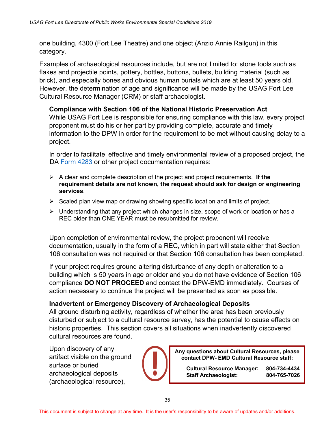one building, 4300 (Fort Lee Theatre) and one object (Anzio Annie Railgun) in this category.

Examples of archaeological resources include, but are not limited to: stone tools such as flakes and projectile points, pottery, bottles, buttons, bullets, building material (such as brick), and especially bones and obvious human burials which are at least 50 years old. However, the determination of age and significance will be made by the USAG Fort Lee Cultural Resource Manager (CRM) or staff archaeologist.

#### **Compliance with Section 106 of the National Historic Preservation Act**

While USAG Fort Lee is responsible for ensuring compliance with this law, every project proponent must do his or her part by providing complete, accurate and timely information to the DPW in order for the requirement to be met without causing delay to a project.

 In order to facilitate effective and timely environmental review of a proposed project, the DA [Form 4283](http://www.apd.army.mil/pub/eforms/pdf/A4283.pdf) or other project documentation requires:

- A clear and complete description of the project and project requirements. **If the requirement details are not known, the request should ask for design or engineering services**.
- $\triangleright$  Scaled plan view map or drawing showing specific location and limits of project.
- $\triangleright$  Understanding that any project which changes in size, scope of work or location or has a REC older than ONE YEAR must be resubmitted for review.

Upon completion of environmental review, the project proponent will receive documentation, usually in the form of a REC, which in part will state either that Section 106 consultation was not required or that Section 106 consultation has been completed.

If your project requires ground altering disturbance of any depth or alteration to a building which is 50 years in age or older and you do not have evidence of Section 106 compliance **DO NOT PROCEED** and contact the DPW-EMD immediately. Courses of action necessary to continue the project will be presented as soon as possible.

#### **Inadvertent or Emergency Discovery of Archaeological Deposits**

All ground disturbing activity, regardless of whether the area has been previously disturbed or subject to a cultural resource survey, has the potential to cause effects on historic properties. This section covers all situations when inadvertently discovered cultural resources are found.

Upon discovery of any artifact visible on the ground surface or buried archaeological deposits (archaeological resource),



**Any questions about Cultural Resources, please contact DPW- EMD Cultural Resource staff:**

> **Cultural Resource Manager: 804-734-4434 Staff Archaeologist: 804-765-7026**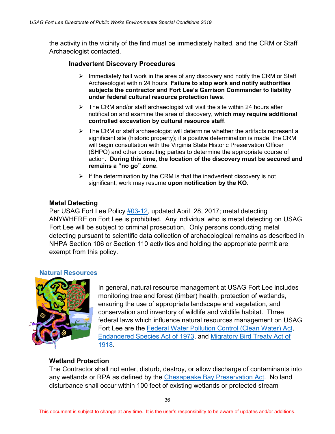the activity in the vicinity of the find must be immediately halted, and the CRM or Staff Archaeologist contacted.

#### **Inadvertent Discovery Procedures**

- $\triangleright$  Immediately halt work in the area of any discovery and notify the CRM or Staff Archaeologist within 24 hours. **Failure to stop work and notify authorities subjects the contractor and Fort Lee's Garrison Commander to liability under federal cultural resource protection laws**.
- $\triangleright$  The CRM and/or staff archaeologist will visit the site within 24 hours after notification and examine the area of discovery, **which may require additional controlled excavation by cultural resource staff**.
- $\triangleright$  The CRM or staff archaeologist will determine whether the artifacts represent a significant site (historic property); if a positive determination is made, the CRM will begin consultation with the Virginia State Historic Preservation Officer (SHPO) and other consulting parties to determine the appropriate course of action. **During this time, the location of the discovery must be secured and remains a "no go" zone**.
- $\triangleright$  If the determination by the CRM is that the inadvertent discovery is not significant, work may resume **upon notification by the KO**.

#### **Metal Detecting**

Per USAG Fort Lee Policy [#03-12,](https://home.army.mil/lee/index.php/about/policies-and-regulations) updated April 28, 2017; metal detecting ANYWHERE on Fort Lee is prohibited. Any individual who is metal detecting on USAG Fort Lee will be subject to criminal prosecution. Only persons conducting metal detecting pursuant to scientific data collection of archaeological remains as described in NHPA Section 106 or Section 110 activities and holding the appropriate permit are exempt from this policy.

#### **Natural Resources**

<span id="page-42-0"></span>

In general, natural resource management at USAG Fort Lee includes monitoring tree and forest (timber) health, protection of wetlands, ensuring the use of appropriate landscape and vegetation, and conservation and inventory of wildlife and wildlife habitat. Three federal laws which influence natural resources management on USAG Fort Lee are the [Federal Water Pollution Control \(Clean Water\) Act,](http://www.epw.senate.gov/water.pdf) [Endangered Species Act](https://www.fws.gov/endangered/esa-library/pdf/ESAall.pdf) of 1973, and [Migratory Bird Treaty Act](https://www.fws.gov/laws/lawsdigest/migtrea.html) of [1918.](https://www.fws.gov/laws/lawsdigest/migtrea.html)

#### **Wetland Protection**

The Contractor shall not enter, disturb, destroy, or allow discharge of contaminants into any wetlands or RPA as defined by the [Chesapeake Bay Preservation Act.](http://law.lis.virginia.gov/vacodefull/title62.1/chapter3.1/article2.5/) No land disturbance shall occur within 100 feet of existing wetlands or protected stream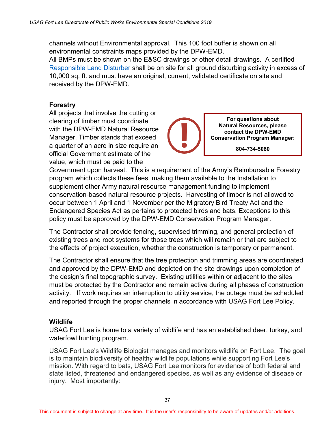channels without Environmental approval. This 100 foot buffer is shown on all environmental constraints maps provided by the DPW-EMD. All BMPs must be shown on the E&SC drawings or other detail drawings. A certified [Responsible Land Disturber](http://www.deq.virginia.gov/ConnectWithDEQ/TrainingCertification/RLDGeneralInformation.aspx) shall be on site for all ground disturbing activity in excess of 10,000 sq. ft. and must have an original, current, validated certificate on site and received by the DPW-EMD.

#### **Forestry**

All projects that involve the cutting or clearing of timber must coordinate with the DPW-EMD Natural Resource Manager. Timber stands that exceed a quarter of an acre in size require an official Government estimate of the value, which must be paid to the

**For questions about Natural Resources, please contact the DPW-EMD Conservation Program Manager:**

**804-734-5080**

Government upon harvest. This is a requirement of the Army's Reimbursable Forestry program which collects these fees, making them available to the Installation to supplement other Army natural resource management funding to implement conservation-based natural resource projects. Harvesting of timber is not allowed to occur between 1 April and 1 November per the Migratory Bird Treaty Act and the Endangered Species Act as pertains to protected birds and bats. Exceptions to this policy must be approved by the DPW-EMD Conservation Program Manager.

The Contractor shall provide fencing, supervised trimming, and general protection of existing trees and root systems for those trees which will remain or that are subject to the effects of project execution, whether the construction is temporary or permanent.

The Contractor shall ensure that the tree protection and trimming areas are coordinated and approved by the DPW-EMD and depicted on the site drawings upon completion of the design's final topographic survey. Existing utilities within or adjacent to the sites must be protected by the Contractor and remain active during all phases of construction activity. If work requires an interruption to utility service, the outage must be scheduled and reported through the proper channels in accordance with USAG Fort Lee Policy.

#### **Wildlife**

USAG Fort Lee is home to a variety of wildlife and has an established deer, turkey, and waterfowl hunting program.

USAG Fort Lee's Wildlife Biologist manages and monitors wildlife on Fort Lee. The goal is to maintain biodiversity of healthy wildlife populations while supporting Fort Lee's mission. With regard to bats, USAG Fort Lee monitors for evidence of both federal and state listed, threatened and endangered species, as well as any evidence of disease or injury. Most importantly: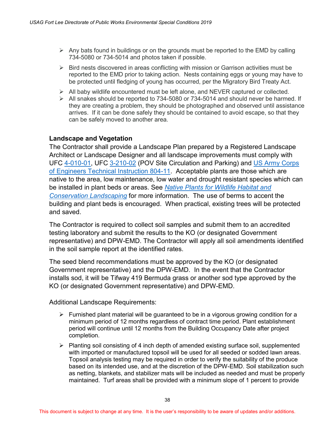- $\triangleright$  Any bats found in buildings or on the grounds must be reported to the EMD by calling 734-5080 or 734-5014 and photos taken if possible.
- $\triangleright$  Bird nests discovered in areas conflicting with mission or Garrison activities must be reported to the EMD prior to taking action. Nests containing eggs or young may have to be protected until fledging of young has occurred, per the Migratory Bird Treaty Act.
- $\triangleright$  All baby wildlife encountered must be left alone, and NEVER captured or collected.
- $\triangleright$  All snakes should be reported to 734-5080 or 734-5014 and should never be harmed. If they are creating a problem, they should be photographed and observed until assistance arrives. If it can be done safely they should be contained to avoid escape, so that they can be safely moved to another area.

#### **Landscape and Vegetation**

The Contractor shall provide a Landscape Plan prepared by a Registered Landscape Architect or Landscape Designer and all landscape improvements must comply with UFC [4-010-01,](http://www.wbdg.org/ccb/DOD/UFC/ufc_4_010_01.pdf) UFC [3-210-02](http://www.wbdg.org/ccb/DOD/UFC/ARCHIVES/ufc_3_210_02_basic.pdf) (POV Site Circulation and Parking) and [US Army Corps](https://www.wbdg.org/ccb/ARMYCOE/COETI/ARCHIVES/ti804_11.pdf)  [of Engineers Technical Instruction 804-11.](https://www.wbdg.org/ccb/ARMYCOE/COETI/ARCHIVES/ti804_11.pdf) Acceptable plants are those which are native to the area, low maintenance, low water and drought resistant species which can be installed in plant beds or areas. See *[Native Plants for Wildlife Habitat and](https://www.nps.gov/plants/pubs/chesapeake/toc.htm)  [Conservation Landscaping](https://www.nps.gov/plants/pubs/chesapeake/toc.htm)* for more information. The use of berms to accent the building and plant beds is encouraged. When practical, existing trees will be protected and saved.

The Contractor is required to collect soil samples and submit them to an accredited testing laboratory and submit the results to the KO (or designated Government representative) and DPW-EMD. The Contractor will apply all soil amendments identified in the soil sample report at the identified rates.

The seed blend recommendations must be approved by the KO (or designated Government representative) and the DPW-EMD. In the event that the Contractor installs sod, it will be Tifway 419 Bermuda grass or another sod type approved by the KO (or designated Government representative) and DPW-EMD.

Additional Landscape Requirements:

- $\triangleright$  Furnished plant material will be guaranteed to be in a vigorous growing condition for a minimum period of 12 months regardless of contract time period. Plant establishment period will continue until 12 months from the Building Occupancy Date after project completion.
- $\triangleright$  Planting soil consisting of 4 inch depth of amended existing surface soil, supplemented with imported or manufactured topsoil will be used for all seeded or sodded lawn areas. Topsoil analysis testing may be required in order to verify the suitability of the produce based on its intended use, and at the discretion of the DPW-EMD. Soil stabilization such as netting, blankets, and stabilizer mats will be included as needed and must be properly maintained. Turf areas shall be provided with a minimum slope of 1 percent to provide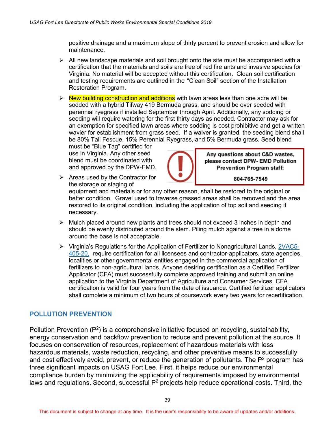positive drainage and a maximum slope of thirty percent to prevent erosion and allow for maintenance.

- $\triangleright$  All new landscape materials and soil brought onto the site must be accompanied with a certification that the materials and soils are free of red fire ants and invasive species for Virginia. No material will be accepted without this certification. Clean soil certification and testing requirements are outlined in the "Clean Soil" section of the Installation Restoration Program.
- $\triangleright$  New building construction and additions with lawn areas less than one acre will be sodded with a hybrid Tifway 419 Bermuda grass, and should be over seeded with perennial ryegrass if installed September through April. Additionally, any sodding or seeding will require watering for the first thirty days as needed. Contractor may ask for an exemption for specified lawn areas where sodding is cost prohibitive and get a written wavier for establishment from grass seed. If a waiver is granted, the seeding blend shall be 80% Tall Fescue, 15% Perennial Ryegrass, and 5% Bermuda grass. Seed blend

must be "Blue Tag" certified for use in Virginia. Any other seed blend must be coordinated with and approved by the DPW-EMD.

 $\triangleright$  Areas used by the Contractor for the storage or staging of



Any questions about C&D wastes, please contact DPW- EMD Pollution Prevention Program staff:

804-765-7549

equipment and materials or for any other reason, shall be restored to the original or better condition. Gravel used to traverse grassed areas shall be removed and the area restored to its original condition, including the application of top soil and seeding if necessary.

- $\triangleright$  Mulch placed around new plants and trees should not exceed 3 inches in depth and should be evenly distributed around the stem. Piling mulch against a tree in a dome around the base is not acceptable.
- $\triangleright$  Virginia's Regulations for the Application of Fertilizer to Nonagricultural Lands, [2VAC5-](http://law.lis.virginia.gov/admincode/title2/agency5/chapter405/section20) [405-20,](http://law.lis.virginia.gov/admincode/title2/agency5/chapter405/section20) require certification for all licensees and contractor-applicators, state agencies, localities or other governmental entities engaged in the commercial application of fertilizers to non-agricultural lands. Anyone desiring certification as a Certified Fertilizer Applicator (CFA) must successfully complete approved training and submit an online application to the Virginia Department of Agriculture and Consumer Services. CFA certification is valid for four years from the date of issuance. Certified fertilizer applicators shall complete a minimum of two hours of coursework every two years for recertification.

### <span id="page-45-0"></span>**POLLUTION PREVENTION**

Pollution Prevention (P<sup>2</sup>) is a comprehensive initiative focused on recycling, sustainability, energy conservation and backflow prevention to reduce and prevent pollution at the source. It focuses on conservation of resources, replacement of hazardous materials with less hazardous materials, waste reduction, recycling, and other preventive means to successfully and cost effectively avoid, prevent, or reduce the generation of pollutants. The  $P^2$  program has three significant impacts on USAG Fort Lee. First, it helps reduce our environmental compliance burden by minimizing the applicability of requirements imposed by environmental laws and regulations. Second, successful  $P^2$  projects help reduce operational costs. Third, the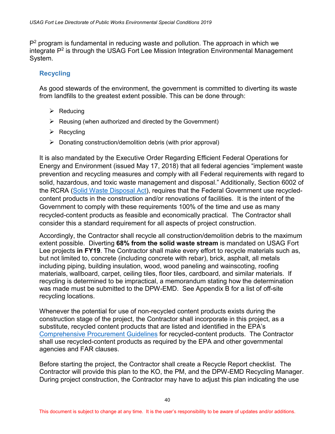P<sup>2</sup> program is fundamental in reducing waste and pollution. The approach in which we integrate P2 is through the USAG Fort Lee Mission Integration Environmental Management System.

### **Recycling**

As good stewards of the environment, the government is committed to diverting its waste from landfills to the greatest extent possible. This can be done through:

- $\triangleright$  Reducing
- $\triangleright$  Reusing (when authorized and directed by the Government)
- $\triangleright$  Recycling
- $\triangleright$  Donating construction/demolition debris (with prior approval)

It is also mandated by the Executive Order Regarding Efficient Federal Operations for Energy and Environment (issued May 17, 2018) that all federal agencies "implement waste prevention and recycling measures and comply with all Federal requirements with regard to solid, hazardous, and toxic waste management and disposal." Additionally, Section 6002 of the RCRA [\(Solid Waste Disposal Act\)](http://www.epw.senate.gov/rcra.pdf), requires that the Federal Government use recycledcontent products in the construction and/or renovations of facilities. It is the intent of the Government to comply with these requirements 100% of the time and use as many recycled-content products as feasible and economically practical. The Contractor shall consider this a standard requirement for all aspects of project construction.

Accordingly, the Contractor shall recycle all construction/demolition debris to the maximum extent possible. Diverting **68% from the solid waste stream** is mandated on USAG Fort Lee projects **in FY19**. The Contractor shall make every effort to recycle materials such as, but not limited to, concrete (including concrete with rebar), brick, asphalt, all metals including piping, building insulation, wood, wood paneling and wainscoting, roofing materials, wallboard, carpet, ceiling tiles, floor tiles, cardboard, and similar materials. If recycling is determined to be impractical, a memorandum stating how the determination was made must be submitted to the DPW-EMD. See Appendix B for a list of off-site recycling locations.

Whenever the potential for use of non-recycled content products exists during the construction stage of the project, the Contractor shall incorporate in this project, as a substitute, recycled content products that are listed and identified in the EPA's [Comprehensive Procurement Guidelines](https://www.epa.gov/sites/production/files/2016-02/documents/cpg-fs.pdf) for recycled-content products. The Contractor shall use recycled-content products as required by the EPA and other governmental agencies and FAR clauses.

Before starting the project, the Contractor shall create a Recycle Report checklist. The Contractor will provide this plan to the KO, the PM, and the DPW-EMD Recycling Manager. During project construction, the Contractor may have to adjust this plan indicating the use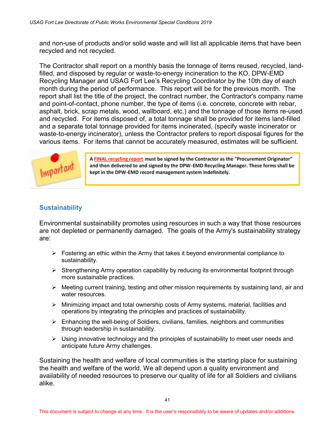and non-use of products and/or solid waste and will list all applicable items that have been recycled and not recycled.

The Contractor shall report on a monthly basis the tonnage of items reused, recycled, landfilled, and disposed by regular or waste-to-energy incineration to the KO, DPW-EMD Recycling Manager and USAG Fort Lee's Recycling Coordinator by the 10th day of each month during the period of performance. This report will be for the previous month. The report shall list the title of the project, the contract number, the Contractor's company name and point-of-contact, phone number, the type of items (i.e. concrete, concrete with rebar, asphalt, brick, scrap metals, wood, wallboard, etc.) and the tonnage of those items re-used and recycled. For items disposed of, a total tonnage shall be provided for items land-filled and a separate total tonnage provided for items incinerated, (specify waste incinerator or waste-to-energy incinerator), unless the Contractor prefers to report disposal figures for the various items. For items that cannot be accurately measured, estimates will be sufficient.



A FINAL recycling report must be signed by the Contractor as the "Procurement Originator" and then delivered to and signed by the DPW-EMD Recycling Manager. These forms shall be kept in the DPW-EMD record management system indefinitely.

### <span id="page-47-0"></span>**Sustainability**

Environmental sustainability promotes using resources in such a way that those resources are not depleted or permanently damaged. The goals of the Army's sustainability strategy are:

- $\triangleright$  Fostering an ethic within the Army that takes it beyond environmental compliance to sustainability.
- $\triangleright$  Strengthening Army operation capability by reducing its environmental footprint through more sustainable practices.
- $\triangleright$  Meeting current training, testing and other mission requirements by sustaining land, air and water resources.
- Minimizing impact and total ownership costs of Army systems, material, facilities and operations by integrating the principles and practices of sustainability.
- $\triangleright$  Enhancing the well-being of Soldiers, civilians, families, neighbors and communities through leadership in sustainability.
- $\triangleright$  Using innovative technology and the principles of sustainability to meet user needs and anticipate future Army challenges.

Sustaining the health and welfare of local communities is the starting place for sustaining the health and welfare of the world. We all depend upon a quality environment and availability of needed resources to preserve our quality of life for all Soldiers and civilians alike.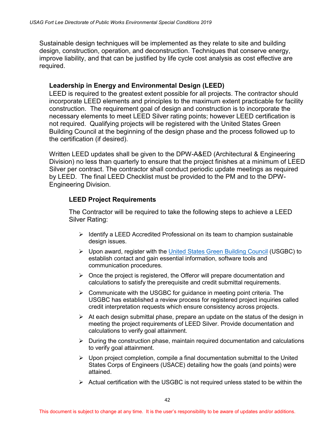Sustainable design techniques will be implemented as they relate to site and building design, construction, operation, and deconstruction. Techniques that conserve energy, improve liability, and that can be justified by life cycle cost analysis as cost effective are required.

#### **Leadership in Energy and Environmental Design (LEED)**

LEED is required to the greatest extent possible for all projects. The contractor should incorporate LEED elements and principles to the maximum extent practicable for facility construction. The requirement goal of design and construction is to incorporate the necessary elements to meet LEED Silver rating points; however LEED certification is not required. Qualifying projects will be registered with the United States Green Building Council at the beginning of the design phase and the process followed up to the certification (if desired).

Written LEED updates shall be given to the DPW-A&ED (Architectural & Engineering Division) no less than quarterly to ensure that the project finishes at a minimum of LEED Silver per contract. The contractor shall conduct periodic update meetings as required by LEED. The final LEED Checklist must be provided to the PM and to the DPW-Engineering Division.

#### **LEED Project Requirements**

The Contractor will be required to take the following steps to achieve a LEED Silver Rating:

- $\triangleright$  Identify a LEED Accredited Professional on its team to champion sustainable design issues.
- Upon award, register with the [United States Green Building Council](http://www.usgbc.org/) (USGBC) to establish contact and gain essential information, software tools and communication procedures.
- $\triangleright$  Once the project is registered, the Offeror will prepare documentation and calculations to satisfy the prerequisite and credit submittal requirements.
- $\triangleright$  Communicate with the USGBC for quidance in meeting point criteria. The USGBC has established a review process for registered project inquiries called credit interpretation requests which ensure consistency across projects.
- $\triangleright$  At each design submittal phase, prepare an update on the status of the design in meeting the project requirements of LEED Silver. Provide documentation and calculations to verify goal attainment.
- $\triangleright$  During the construction phase, maintain required documentation and calculations to verify goal attainment.
- $\triangleright$  Upon project completion, compile a final documentation submittal to the United States Corps of Engineers (USACE) detailing how the goals (and points) were attained.
- $\triangleright$  Actual certification with the USGBC is not required unless stated to be within the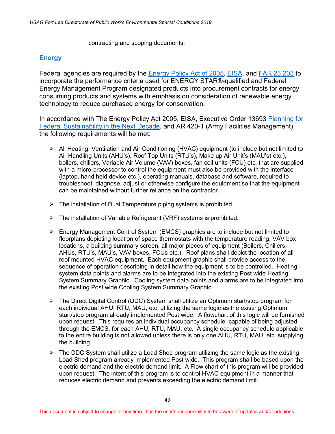contracting and scoping documents.

#### <span id="page-49-0"></span>**Energy**

Federal agencies are required by the [Energy Policy Act of 2005,](http://energy.gov/sites/prod/files/2014/03/f14/EPAof2005.pdf) [EISA,](https://www.gpo.gov/fdsys/pkg/BILLS-110hr6enr/pdf/BILLS-110hr6enr.pdf) and [FAR 23.203](https://www.acquisition.gov/sites/default/files/current/far/html/Subpart%2023_2.html) to incorporate the performance criteria used for ENERGY STAR®-qualified and Federal Energy Management Program designated products into procurement contracts for energy consuming products and systems with emphasis on consideration of renewable energy technology to reduce purchased energy for conservation.

In accordance with The Energy Policy Act 2005, EISA, Executive Order 13693 [Planning for](https://www.gpo.gov/fdsys/pkg/FR-2015-03-25/pdf/2015-07016.pdf)  [Federal Sustainability in the Next Decade,](https://www.gpo.gov/fdsys/pkg/FR-2015-03-25/pdf/2015-07016.pdf) and AR 420-1 (Army Facilities Management), the following requirements will be met:

- $\triangleright$  All Heating, Ventilation and Air Conditioning (HVAC) equipment (to include but not limited to Air Handling Units (AHU's), Roof Top Units (RTU's), Make up Air Unit's (MAU's) etc.), boilers, chillers, Variable Air Volume (VAV) boxes, fan coil units (FCU) etc. that are supplied with a micro-processor to control the equipment must also be provided with the interface (laptop, hand held device etc.), operating manuals, database and software, required to troubleshoot, diagnose, adjust or otherwise configure the equipment so that the equipment can be maintained without further reliance on the contractor.
- $\triangleright$  The installation of Dual Temperature piping systems is prohibited.
- $\triangleright$  The installation of Variable Refrigerant (VRF) systems is prohibited.
- Energy Management Control System (EMCS) graphics are to include but not limited to floorplans depicting location of space thermostats with the temperature reading, VAV box locations, a building summary screen, all major pieces of equipment (Boilers, Chillers, AHUs, RTU's, MAU's, VAV boxes, FCUs etc.). Roof plans shall depict the location of all roof mounted HVAC equipment. Each equipment graphic shall provide access to the sequence of operation describing in detail how the equipment is to be controlled. Heating system data points and alarms are to be integrated into the existing Post wide Heating System Summary Graphic. Cooling system data points and alarms are to be integrated into the existing Post wide Cooling System Summary Graphic.
- The Direct Digital Control (DDC) System shall utilize an Optimum start/stop program for each individual AHU, RTU, MAU, etc. utilizing the same logic as the existing Optimum start/stop program already implemented Post wide. A flowchart of this logic will be furnished upon request. This requires an individual occupancy schedule, capable of being adjusted through the EMCS, for each AHU, RTU, MAU, etc. A single occupancy schedule applicable to the entire building is not allowed unless there is only one AHU, RTU, MAU, etc. supplying the building.
- $\triangleright$  The DDC System shall utilize a Load Shed program utilizing the same logic as the existing Load Shed program already implemented Post wide. This program shall be based upon the electric demand and the electric demand limit. A Flow chart of this program will be provided upon request. The intent of this program is to control HVAC equipment in a manner that reduces electric demand and prevents exceeding the electric demand limit.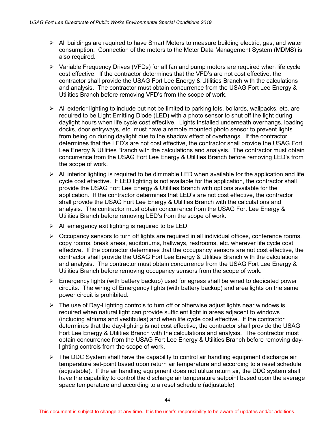- All buildings are required to have Smart Meters to measure building electric, gas, and water consumption. Connection of the meters to the Meter Data Management System (MDMS) is also required.
- $\triangleright$  Variable Frequency Drives (VFDs) for all fan and pump motors are required when life cycle cost effective. If the contractor determines that the VFD's are not cost effective, the contractor shall provide the USAG Fort Lee Energy & Utilities Branch with the calculations and analysis. The contractor must obtain concurrence from the USAG Fort Lee Energy & Utilities Branch before removing VFD's from the scope of work.
- $\triangleright$  All exterior lighting to include but not be limited to parking lots, bollards, wallpacks, etc. are required to be Light Emitting Diode (LED) with a photo sensor to shut off the light during daylight hours when life cycle cost effective. Lights installed underneath overhangs, loading docks, door entryways, etc. must have a remote mounted photo sensor to prevent lights from being on during daylight due to the shadow effect of overhangs. If the contractor determines that the LED's are not cost effective, the contractor shall provide the USAG Fort Lee Energy & Utilities Branch with the calculations and analysis. The contractor must obtain concurrence from the USAG Fort Lee Energy & Utilities Branch before removing LED's from the scope of work.
- $\triangleright$  All interior lighting is required to be dimmable LED when available for the application and life cycle cost effective. If LED lighting is not available for the application, the contractor shall provide the USAG Fort Lee Energy & Utilities Branch with options available for the application. If the contractor determines that LED's are not cost effective, the contractor shall provide the USAG Fort Lee Energy & Utilities Branch with the calculations and analysis. The contractor must obtain concurrence from the USAG Fort Lee Energy & Utilities Branch before removing LED's from the scope of work.
- $\triangleright$  All emergency exit lighting is required to be LED.
- $\triangleright$  Occupancy sensors to turn off lights are required in all individual offices, conference rooms, copy rooms, break areas, auditoriums, hallways, restrooms, etc. wherever life cycle cost effective. If the contractor determines that the occupancy sensors are not cost effective, the contractor shall provide the USAG Fort Lee Energy & Utilities Branch with the calculations and analysis. The contractor must obtain concurrence from the USAG Fort Lee Energy & Utilities Branch before removing occupancy sensors from the scope of work.
- $\triangleright$  Emergency lights (with battery backup) used for egress shall be wired to dedicated power circuits. The wiring of Emergency lights (with battery backup) and area lights on the same power circuit is prohibited.
- $\triangleright$  The use of Day-Lighting controls to turn off or otherwise adjust lights near windows is required when natural light can provide sufficient light in areas adjacent to windows (including atriums and vestibules) and when life cycle cost effective. If the contractor determines that the day-lighting is not cost effective, the contractor shall provide the USAG Fort Lee Energy & Utilities Branch with the calculations and analysis. The contractor must obtain concurrence from the USAG Fort Lee Energy & Utilities Branch before removing daylighting controls from the scope of work.
- $\triangleright$  The DDC System shall have the capability to control air handling equipment discharge air temperature set-point based upon return air temperature and according to a reset schedule (adjustable). If the air handling equipment does not utilize return air, the DDC system shall have the capability to control the discharge air temperature setpoint based upon the average space temperature and according to a reset schedule (adjustable).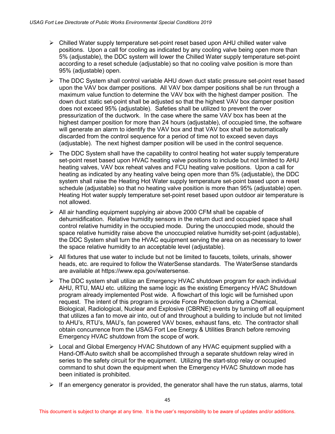- $\triangleright$  Chilled Water supply temperature set-point reset based upon AHU chilled water valve positions. Upon a call for cooling as indicated by any cooling valve being open more than 5% (adjustable), the DDC system will lower the Chilled Water supply temperature set-point according to a reset schedule (adjustable) so that no cooling valve position is more than 95% (adjustable) open.
- $\triangleright$  The DDC System shall control variable AHU down duct static pressure set-point reset based upon the VAV box damper positions. All VAV box damper positions shall be run through a maximum value function to determine the VAV box with the highest damper position. The down duct static set-point shall be adjusted so that the highest VAV box damper position does not exceed 95% (adjustable). Safeties shall be utilized to prevent the over pressurization of the ductwork. In the case where the same VAV box has been at the highest damper position for more than 24 hours (adjustable), of occupied time, the software will generate an alarm to identify the VAV box and that VAV box shall be automatically discarded from the control sequence for a period of time not to exceed seven days (adjustable). The next highest damper position will be used in the control sequence.
- $\triangleright$  The DDC System shall have the capability to control heating hot water supply temperature set-point reset based upon HVAC heating valve positions to include but not limited to AHU heating valves, VAV box reheat valves and FCU heating valve positions. Upon a call for heating as indicated by any heating valve being open more than 5% (adjustable), the DDC system shall raise the Heating Hot Water supply temperature set-point based upon a reset schedule (adjustable) so that no heating valve position is more than 95% (adjustable) open. Heating Hot water supply temperature set-point reset based upon outdoor air temperature is not allowed.
- $\triangleright$  All air handling equipment supplying air above 2000 CFM shall be capable of dehumidification. Relative humidity sensors in the return duct and occupied space shall control relative humidity in the occupied mode. During the unoccupied mode, should the space relative humidity raise above the unoccupied relative humidity set-point (adjustable), the DDC System shall turn the HVAC equipment serving the area on as necessary to lower the space relative humidity to an acceptable level (adjustable).
- $\triangleright$  All fixtures that use water to include but not be limited to faucets, toilets, urinals, shower heads, etc. are required to follow the WaterSense standards. The WaterSense standards are available at https://www.epa.gov/watersense.
- $\triangleright$  The DDC system shall utilize an Emergency HVAC shutdown program for each individual AHU, RTU, MAU etc. utilizing the same logic as the existing Emergency HVAC Shutdown program already implemented Post wide. A flowchart of this logic will be furnished upon request. The intent of this program is provide Force Protection during a Chemical, Biological, Radiological, Nuclear and Explosive (CBRNE) events by turning off all equipment that utilizes a fan to move air into, out of and throughout a building to include but not limited to AHU's, RTU's, MAU's, fan powered VAV boxes, exhaust fans, etc. The contractor shall obtain concurrence from the USAG Fort Lee Energy & Utilities Branch before removing Emergency HVAC shutdown from the scope of work.
- Local and Global Emergency HVAC Shutdown of any HVAC equipment supplied with a Hand-Off-Auto switch shall be accomplished through a separate shutdown relay wired in series to the safety circuit for the equipment. Utilizing the start-stop relay or occupied command to shut down the equipment when the Emergency HVAC Shutdown mode has been initiated is prohibited.
- $\triangleright$  If an emergency generator is provided, the generator shall have the run status, alarms, total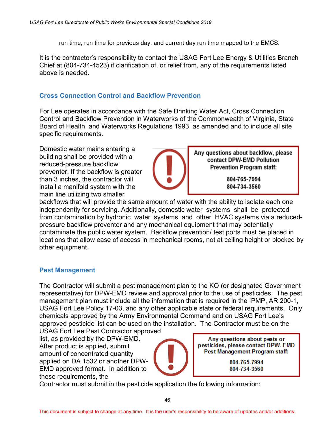run time, run time for previous day, and current day run time mapped to the EMCS.

It is the contractor's responsibility to contact the USAG Fort Lee Energy & Utilities Branch Chief at (804-734-4523) if clarification of, or relief from, any of the requirements listed above is needed.

### <span id="page-52-0"></span>**Cross Connection Control and Backflow Prevention**

For Lee operates in accordance with the Safe Drinking Water Act, Cross Connection Control and Backflow Prevention in Waterworks of the Commonwealth of Virginia, State Board of Health, and Waterworks Regulations 1993, as amended and to include all site specific requirements.

Domestic water mains entering a building shall be provided with a reduced-pressure backflow preventer. If the backflow is greater than 3 inches, the contractor will install a manifold system with the main line utilizing two smaller



Any questions about backflow, please contact DPW-EMD Pollution **Prevention Program staff:** 

> 804-765-7994 804-734-3560

backflows that will provide the same amount of water with the ability to isolate each one independently for servicing. Additionally, domestic water systems shall be protected from contamination by hydronic water systems and other HVAC systems via a reducedpressure backflow preventer and any mechanical equipment that may potentially contaminate the public water system. Backflow prevention/ test ports must be placed in locations that allow ease of access in mechanical rooms, not at ceiling height or blocked by other equipment.

#### <span id="page-52-1"></span>**Pest Management**

The Contractor will submit a pest management plan to the KO (or designated Government representative) for DPW-EMD review and approval prior to the use of pesticides. The pest management plan must include all the information that is required in the IPMP, AR 200-1, USAG Fort Lee Policy 17-03, and any other applicable state or federal requirements. Only chemicals approved by the Army Environmental Command and on USAG Fort Lee's approved pesticide list can be used on the installation. The Contractor must be on the

USAG Fort Lee Pest Contractor approved list, as provided by the DPW-EMD. After product is applied, submit amount of concentrated quantity applied on DA 1532 or another DPW-EMD approved format. In addition to these requirements, the



Any questions about pests or pesticides, please contact DPW-EMD Pest Management Program staff:

> 804-765-7994 804-734-3560

Contractor must submit in the pesticide application the following information: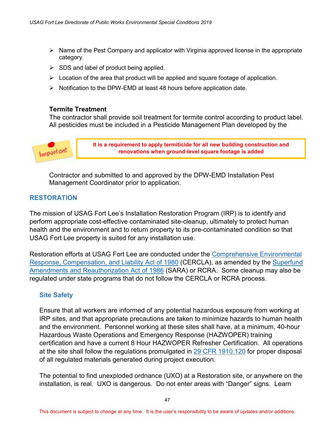- $\triangleright$  Name of the Pest Company and applicator with Virginia approved license in the appropriate category.
- $\triangleright$  SDS and label of product being applied.
- $\triangleright$  Location of the area that product will be applied and square footage of application.
- $\triangleright$  Notification to the DPW-EMD at least 48 hours before application date.

#### **Termite Treatment**

The contractor shall provide soil treatment for termite control according to product label. All pesticides must be included in a Pesticide Management Plan developed by the



**It is a requirement to apply termiticide for all new building construction and renovations when ground-level square footage is added**

Contractor and submitted to and approved by the DPW-EMD Installation Pest Management Coordinator prior to application.

#### <span id="page-53-0"></span>**RESTORATION**

The mission of USAG Fort Lee's Installation Restoration Program (IRP) is to identify and perform appropriate cost-effective contaminated site-cleanup, ultimately to protect human health and the environment and to return property to its pre-contaminated condition so that USAG Fort Lee property is suited for any installation use.

Restoration efforts at USAG Fort Lee are conducted under the [Comprehensive Environmental](http://www.epw.senate.gov/cercla.pdf)  [Response, Compensation, and Liability Act of 1980](http://www.epw.senate.gov/cercla.pdf) (CERCLA), as amended by the [Superfund](http://www.epw.senate.gov/sara.pdf?)  [Amendments and Reauthorization Act of 1986](http://www.epw.senate.gov/sara.pdf?) (SARA) or RCRA. Some cleanup may also be regulated under state programs that do not follow the CERCLA or RCRA process.

#### <span id="page-53-1"></span>**Site Safety**

Ensure that all workers are informed of any potential hazardous exposure from working at IRP sites, and that appropriate precautions are taken to minimize hazards to human health and the environment. Personnel working at these sites shall have, at a minimum, 40-hour Hazardous Waste Operations and Emergency Response (HAZWOPER) training certification and have a current 8 Hour HAZWOPER Refresher Certification. All operations at the site shall follow the regulations promulgated in [29 CFR 1910.120](https://www.osha.gov/pls/oshaweb/owadisp.show_document?p_table=standards&p_id=9765) for proper disposal of all regulated materials generated during project execution.

The potential to find unexploded ordnance (UXO) at a Restoration site, or anywhere on the installation, is real. UXO is dangerous. Do not enter areas with "Danger" signs. Learn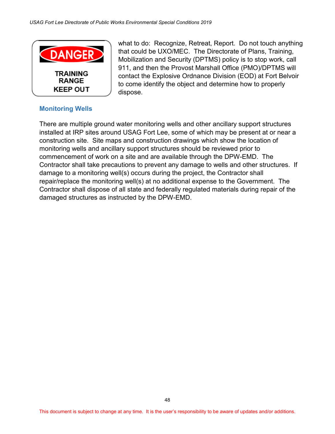

what to do: Recognize, Retreat, Report. Do not touch anything that could be UXO/MEC. The Directorate of Plans, Training, Mobilization and Security (DPTMS) policy is to stop work, call 911, and then the Provost Marshall Office (PMO)/DPTMS will contact the Explosive Ordnance Division (EOD) at Fort Belvoir to come identify the object and determine how to properly dispose.

#### <span id="page-54-0"></span>**Monitoring Wells**

There are multiple ground water monitoring wells and other ancillary support structures installed at IRP sites around USAG Fort Lee, some of which may be present at or near a construction site. Site maps and construction drawings which show the location of monitoring wells and ancillary support structures should be reviewed prior to commencement of work on a site and are available through the DPW-EMD. The Contractor shall take precautions to prevent any damage to wells and other structures. If damage to a monitoring well(s) occurs during the project, the Contractor shall repair/replace the monitoring well(s) at no additional expense to the Government. The Contractor shall dispose of all state and federally regulated materials during repair of the damaged structures as instructed by the DPW-EMD.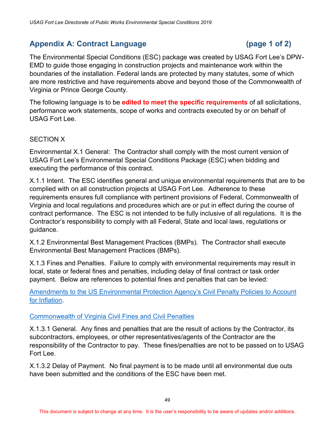# <span id="page-55-0"></span>Appendix A: Contract Language (page 1 of 2)

The Environmental Special Conditions (ESC) package was created by USAG Fort Lee's DPW-EMD to guide those engaging in construction projects and maintenance work within the boundaries of the installation. Federal lands are protected by many statutes, some of which are more restrictive and have requirements above and beyond those of the Commonwealth of Virginia or Prince George County.

The following language is to be **edited to meet the specific requirements** of all solicitations, performance work statements, scope of works and contracts executed by or on behalf of USAG Fort Lee.

#### SECTION X

Environmental X.1 General: The Contractor shall comply with the most current version of USAG Fort Lee's Environmental Special Conditions Package (ESC) when bidding and executing the performance of this contract.

X.1.1 Intent. The ESC identifies general and unique environmental requirements that are to be complied with on all construction projects at USAG Fort Lee. Adherence to these requirements ensures full compliance with pertinent provisions of Federal, Commonwealth of Virginia and local regulations and procedures which are or put in effect during the course of contract performance. The ESC is not intended to be fully inclusive of all regulations. It is the Contractor's responsibility to comply with all Federal, State and local laws, regulations or guidance.

X.1.2 Environmental Best Management Practices (BMPs). The Contractor shall execute Environmental Best Management Practices (BMPs).

X.1.3 Fines and Penalties. Failure to comply with environmental requirements may result in local, state or federal fines and penalties, including delay of final contract or task order payment. Below are references to potential fines and penalties that can be levied:

[Amendments to the US Environmental Protection Agency's Civil Penalty Policies to Account](https://www.epa.gov/sites/production/files/2014-01/documents/guidancetoamendepapenaltypolicyforinflation.pdf)  [for Inflation.](https://www.epa.gov/sites/production/files/2014-01/documents/guidancetoamendepapenaltypolicyforinflation.pdf)

#### [Commonwealth of Virginia Civil Fines and Civil Penalties](http://www.deq.virginia.gov/Portals/0/DEQ/Enforcement/Guidance/Chapter%204%20Text%20Revision%203%20Final%2012292014.pdf)

X.1.3.1 General. Any fines and penalties that are the result of actions by the Contractor, its subcontractors, employees, or other representatives/agents of the Contractor are the responsibility of the Contractor to pay. These fines/penalties are not to be passed on to USAG Fort Lee.

X.1.3.2 Delay of Payment. No final payment is to be made until all environmental due outs have been submitted and the conditions of the ESC have been met.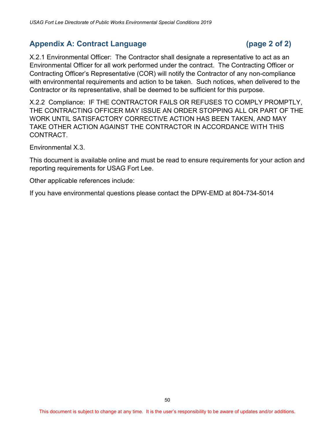# <span id="page-56-0"></span>Appendix A: Contract Language (page 2 of 2)

X.2.1 Environmental Officer: The Contractor shall designate a representative to act as an Environmental Officer for all work performed under the contract. The Contracting Officer or Contracting Officer's Representative (COR) will notify the Contractor of any non-compliance with environmental requirements and action to be taken. Such notices, when delivered to the Contractor or its representative, shall be deemed to be sufficient for this purpose.

X.2.2 Compliance: IF THE CONTRACTOR FAILS OR REFUSES TO COMPLY PROMPTLY, THE CONTRACTING OFFICER MAY ISSUE AN ORDER STOPPING ALL OR PART OF THE WORK UNTIL SATISFACTORY CORRECTIVE ACTION HAS BEEN TAKEN, AND MAY TAKE OTHER ACTION AGAINST THE CONTRACTOR IN ACCORDANCE WITH THIS CONTRACT.

Environmental X.3.

This document is available [online](https://home.army.mil/lee/application/files/7915/3546/0377/Environmental_Special_Conditions.pdf) and must be read to ensure requirements for your action and reporting requirements for USAG Fort Lee.

Other applicable references include:

If you have environmental questions please contact the DPW-EMD at 804-734-5014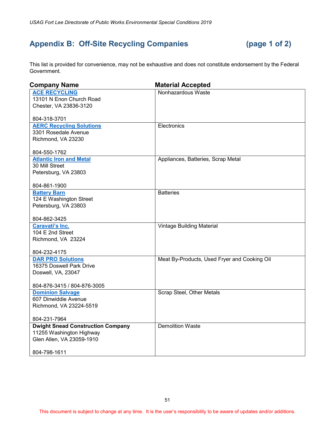# <span id="page-57-0"></span>**Appendix B: Off-Site Recycling Companies (page 1 of 2)**

This list is provided for convenience, may not be exhaustive and does not constitute endorsement by the Federal Government.

| <b>Company Name</b>                      | <b>Material Accepted</b>                     |
|------------------------------------------|----------------------------------------------|
| <b>ACE RECYCLING</b>                     | Nonhazardous Waste                           |
| 13101 N Enon Church Road                 |                                              |
| Chester, VA 23836-3120                   |                                              |
|                                          |                                              |
| 804-318-3701                             |                                              |
| <b>AERC Recycling Solutions</b>          | Electronics                                  |
| 3301 Rosedale Avenue                     |                                              |
| Richmond, VA 23230                       |                                              |
| 804-550-1762                             |                                              |
| <b>Atlantic Iron and Metal</b>           | Appliances, Batteries, Scrap Metal           |
| 30 Mill Street                           |                                              |
| Petersburg, VA 23803                     |                                              |
|                                          |                                              |
| 804-861-1900                             |                                              |
| <b>Battery Barn</b>                      | <b>Batteries</b>                             |
| 124 E Washington Street                  |                                              |
| Petersburg, VA 23803                     |                                              |
| 804-862-3425                             |                                              |
| Caravati's Inc.                          | Vintage Building Material                    |
| 104 E 2nd Street                         |                                              |
| Richmond, VA 23224                       |                                              |
|                                          |                                              |
| 804-232-4175                             |                                              |
| <b>DAR PRO Solutions</b>                 | Meat By-Products, Used Fryer and Cooking Oil |
| 16375 Doswell Park Drive                 |                                              |
| Doswell, VA, 23047                       |                                              |
| 804-876-3415 / 804-876-3005              |                                              |
| <b>Dominion Salvage</b>                  | Scrap Steel, Other Metals                    |
| 607 Dinwiddie Avenue                     |                                              |
| Richmond, VA 23224-5519                  |                                              |
|                                          |                                              |
| 804-231-7964                             |                                              |
| <b>Dwight Snead Construction Company</b> | <b>Demolition Waste</b>                      |
| 11255 Washington Highway                 |                                              |
| Glen Allen, VA 23059-1910                |                                              |
| 804-798-1611                             |                                              |
|                                          |                                              |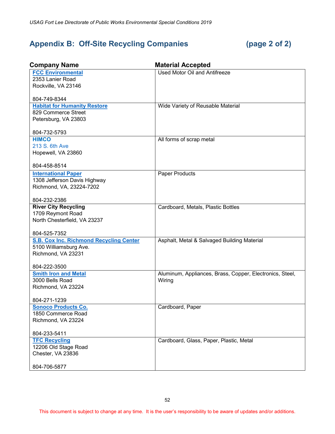# <span id="page-58-0"></span>**Appendix B: Off-Site Recycling Companies (page 2 of 2)**

| <b>Company Name</b>                            | <b>Material Accepted</b>                                 |
|------------------------------------------------|----------------------------------------------------------|
| <b>FCC Environmental</b>                       | <b>Used Motor Oil and Antifreeze</b>                     |
| 2353 Lanier Road                               |                                                          |
| Rockville, VA 23146                            |                                                          |
| 804-749-8344                                   |                                                          |
| <b>Habitat for Humanity Restore</b>            | Wide Variety of Reusable Material                        |
| 829 Commerce Street                            |                                                          |
| Petersburg, VA 23803                           |                                                          |
| 804-732-5793                                   |                                                          |
| <b>HIMCO</b>                                   | All forms of scrap metal                                 |
| 213 S. 6th Ave                                 |                                                          |
| Hopewell, VA 23860                             |                                                          |
| 804-458-8514                                   |                                                          |
| <b>International Paper</b>                     | Paper Products                                           |
| 1308 Jefferson Davis Highway                   |                                                          |
| Richmond, VA, 23224-7202                       |                                                          |
| 804-232-2386                                   |                                                          |
| <b>River City Recycling</b>                    | Cardboard, Metals, Plastic Bottles                       |
| 1709 Reymont Road                              |                                                          |
| North Chesterfield, VA 23237                   |                                                          |
| 804-525-7352                                   |                                                          |
| <b>S.B. Cox Inc. Richmond Recycling Center</b> | Asphalt, Metal & Salvaged Building Material              |
| 5100 Williamsburg Ave.                         |                                                          |
| Richmond, VA 23231                             |                                                          |
| 804-222-3500                                   |                                                          |
| <b>Smith Iron and Metal</b>                    | Aluminum, Appliances, Brass, Copper, Electronics, Steel, |
| 3000 Bells Road                                | Wiring                                                   |
| Richmond, VA 23224                             |                                                          |
| 804-271-1239                                   |                                                          |
| <b>Sonoco Products Co.</b>                     | Cardboard, Paper                                         |
| 1850 Commerce Road                             |                                                          |
| Richmond, VA 23224                             |                                                          |
| 804-233-5411                                   |                                                          |
| <b>TFC Recycling</b>                           | Cardboard, Glass, Paper, Plastic, Metal                  |
| 12206 Old Stage Road                           |                                                          |
| Chester, VA 23836                              |                                                          |
| 804-706-5877                                   |                                                          |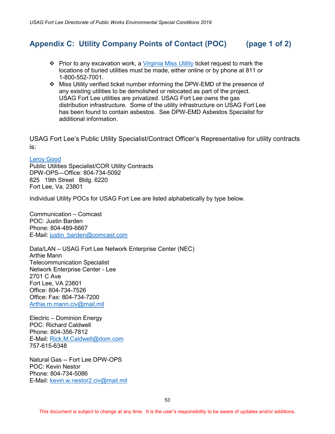# <span id="page-59-0"></span>**Appendix C: Utility Company Points of Contact (POC) (page 1 of 2)**

- Prior to any excavation work, a [Virginia Miss Utility](http://missutilityofvirginia.com/) ticket request to mark the locations of buried utilities must be made, either online or by phone at 811 or 1-800-552-7001.
- Miss Utility verified ticket number informing the DPW-EMD of the presence of any existing utilities to be demolished or relocated as part of the project. USAG Fort Lee utilities are privatized. USAG Fort Lee owns the gas distribution infrastructure. Some of the utility infrastructure on USAG Fort Lee has been found to contain asbestos. See DPW-EMD Asbestos Specialist for additional information.

USAG Fort Lee's Public Utility Specialist/Contract Officer's Representative for utility contracts is:

#### [Leroy Good](mailto:leroy.e.good.civ@mail.mil)

Public Utilities Specialist/COR Utility Contracts DPW-OPS—Office: 804-734-5092 825 19th Street Bldg. 6220 Fort Lee, Va. 23801

Individual Utility POCs for USAG Fort Lee are listed alphabetically by type below.

Communication – Comcast POC: Justin Barden Phone: 804-489-6667 E-Mail: [justin\\_barden@comcast.com](mailto:justin_barden@comcast.com)

Data/LAN – USAG Fort Lee Network Enterprise Center (NEC) Arthie Mann Telecommunication Specialist Network Enterprise Center - Lee 2701 C Ave Fort Lee, VA 23801 Office: 804-734-7526 Office: Fax: 804-734-7200 [Arthie.m.mann.civ@mail.mil](mailto:Arthie.m.mann.civ@mail.mil)

Electric – Dominion Energy POC: Richard Caldwell Phone: 804-356-7812 E-Mail: [Rick.M.Caldwell@dom.com](mailto:Rick.M.Caldwell@dom.com) 757-615-6348

Natural Gas -- Fort Lee DPW-OPS POC: Kevin Nestor Phone: 804-734-5086 E-Mail: [kevin.w.nestor2.civ@mail.mil](mailto:kevin.w.nestor2.civ@mail.mil)